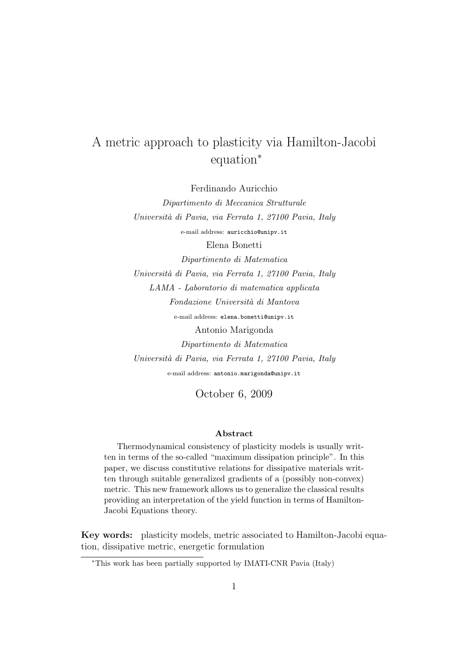# A metric approach to plasticity via Hamilton-Jacobi equation<sup>∗</sup>

Ferdinando Auricchio

Dipartimento di Meccanica Strutturale Universit`a di Pavia, via Ferrata 1, 27100 Pavia, Italy e-mail address: auricchio@unipv.it Elena Bonetti Dipartimento di Matematica Universit`a di Pavia, via Ferrata 1, 27100 Pavia, Italy LAMA - Laboratorio di matematica applicata Fondazione Universit`a di Mantova e-mail address: elena.bonetti@unipv.it Antonio Marigonda Dipartimento di Matematica Universit`a di Pavia, via Ferrata 1, 27100 Pavia, Italy e-mail address: antonio.marigonda@unipv.it

October 6, 2009

#### Abstract

Thermodynamical consistency of plasticity models is usually written in terms of the so-called "maximum dissipation principle". In this paper, we discuss constitutive relations for dissipative materials written through suitable generalized gradients of a (possibly non-convex) metric. This new framework allows us to generalize the classical results providing an interpretation of the yield function in terms of Hamilton-Jacobi Equations theory.

Key words: plasticity models, metric associated to Hamilton-Jacobi equation, dissipative metric, energetic formulation

<sup>∗</sup>This work has been partially supported by IMATI-CNR Pavia (Italy)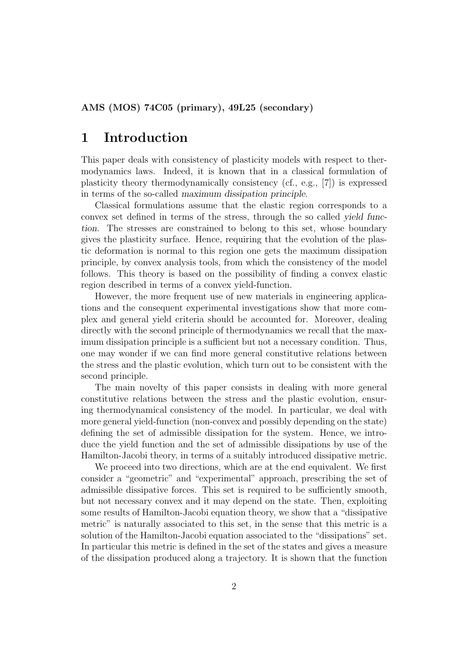## 1 Introduction

This paper deals with consistency of plasticity models with respect to thermodynamics laws. Indeed, it is known that in a classical formulation of plasticity theory thermodynamically consistency (cf., e.g., [7]) is expressed in terms of the so-called maximum dissipation principle.

Classical formulations assume that the elastic region corresponds to a convex set defined in terms of the stress, through the so called yield function. The stresses are constrained to belong to this set, whose boundary gives the plasticity surface. Hence, requiring that the evolution of the plastic deformation is normal to this region one gets the maximum dissipation principle, by convex analysis tools, from which the consistency of the model follows. This theory is based on the possibility of finding a convex elastic region described in terms of a convex yield-function.

However, the more frequent use of new materials in engineering applications and the consequent experimental investigations show that more complex and general yield criteria should be accounted for. Moreover, dealing directly with the second principle of thermodynamics we recall that the maximum dissipation principle is a sufficient but not a necessary condition. Thus, one may wonder if we can find more general constitutive relations between the stress and the plastic evolution, which turn out to be consistent with the second principle.

The main novelty of this paper consists in dealing with more general constitutive relations between the stress and the plastic evolution, ensuring thermodynamical consistency of the model. In particular, we deal with more general yield-function (non-convex and possibly depending on the state) defining the set of admissible dissipation for the system. Hence, we introduce the yield function and the set of admissible dissipations by use of the Hamilton-Jacobi theory, in terms of a suitably introduced dissipative metric.

We proceed into two directions, which are at the end equivalent. We first consider a "geometric" and "experimental" approach, prescribing the set of admissible dissipative forces. This set is required to be sufficiently smooth, but not necessary convex and it may depend on the state. Then, exploiting some results of Hamilton-Jacobi equation theory, we show that a "dissipative metric" is naturally associated to this set, in the sense that this metric is a solution of the Hamilton-Jacobi equation associated to the "dissipations" set. In particular this metric is defined in the set of the states and gives a measure of the dissipation produced along a trajectory. It is shown that the function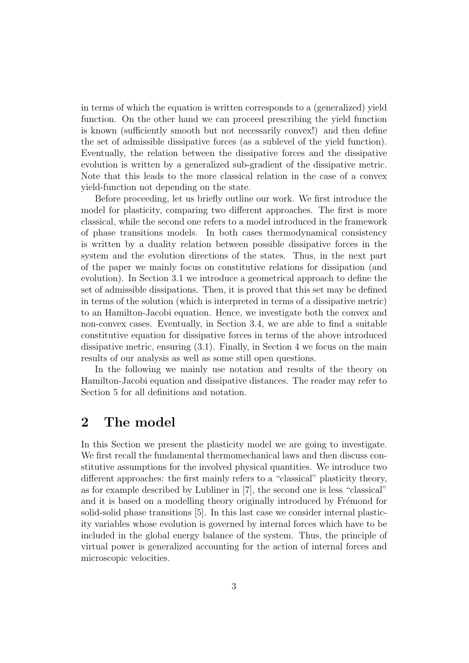in terms of which the equation is written corresponds to a (generalized) yield function. On the other hand we can proceed prescribing the yield function is known (sufficiently smooth but not necessarily convex!) and then define the set of admissible dissipative forces (as a sublevel of the yield function). Eventually, the relation between the dissipative forces and the dissipative evolution is written by a generalized sub-gradient of the dissipative metric. Note that this leads to the more classical relation in the case of a convex yield-function not depending on the state.

Before proceeding, let us briefly outline our work. We first introduce the model for plasticity, comparing two different approaches. The first is more classical, while the second one refers to a model introduced in the framework of phase transitions models. In both cases thermodynamical consistency is written by a duality relation between possible dissipative forces in the system and the evolution directions of the states. Thus, in the next part of the paper we mainly focus on constitutive relations for dissipation (and evolution). In Section 3.1 we introduce a geometrical approach to define the set of admissible dissipations. Then, it is proved that this set may be defined in terms of the solution (which is interpreted in terms of a dissipative metric) to an Hamilton-Jacobi equation. Hence, we investigate both the convex and non-convex cases. Eventually, in Section 3.4, we are able to find a suitable constitutive equation for dissipative forces in terms of the above introduced dissipative metric, ensuring (3.1). Finally, in Section 4 we focus on the main results of our analysis as well as some still open questions.

In the following we mainly use notation and results of the theory on Hamilton-Jacobi equation and dissipative distances. The reader may refer to Section 5 for all definitions and notation.

## 2 The model

In this Section we present the plasticity model we are going to investigate. We first recall the fundamental thermomechanical laws and then discuss constitutive assumptions for the involved physical quantities. We introduce two different approaches: the first mainly refers to a "classical" plasticity theory, as for example described by Lubliner in [7], the second one is less "classical" and it is based on a modelling theory originally introduced by Frémond for solid-solid phase transitions [5]. In this last case we consider internal plasticity variables whose evolution is governed by internal forces which have to be included in the global energy balance of the system. Thus, the principle of virtual power is generalized accounting for the action of internal forces and microscopic velocities.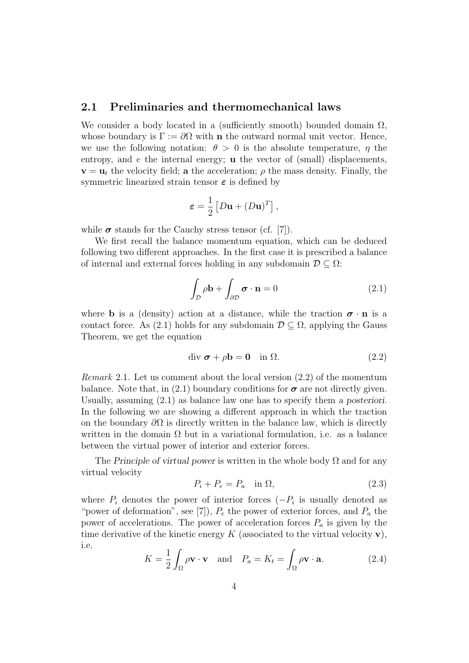### 2.1 Preliminaries and thermomechanical laws

We consider a body located in a (sufficiently smooth) bounded domain  $\Omega$ , whose boundary is  $\Gamma := \partial \Omega$  with **n** the outward normal unit vector. Hence, we use the following notation:  $\theta > 0$  is the absolute temperature,  $\eta$  the entropy, and  $e$  the internal energy; **u** the vector of (small) displacements,  $\mathbf{v} = \mathbf{u}_t$  the velocity field; a the acceleration;  $\rho$  the mass density. Finally, the symmetric linearized strain tensor  $\varepsilon$  is defined by

$$
\boldsymbol{\varepsilon} = \frac{1}{2} \left[ D \mathbf{u} + (D \mathbf{u})^T \right],
$$

while  $\sigma$  stands for the Cauchy stress tensor (cf. [7]).

We first recall the balance momentum equation, which can be deduced following two different approaches. In the first case it is prescribed a balance of internal and external forces holding in any subdomain  $\mathcal{D} \subset \Omega$ :

$$
\int_{\mathcal{D}} \rho \mathbf{b} + \int_{\partial \mathcal{D}} \boldsymbol{\sigma} \cdot \mathbf{n} = 0 \tag{2.1}
$$

where **b** is a (density) action at a distance, while the traction  $\sigma \cdot \mathbf{n}$  is a contact force. As (2.1) holds for any subdomain  $\mathcal{D} \subseteq \Omega$ , applying the Gauss Theorem, we get the equation

$$
\text{div }\boldsymbol{\sigma} + \rho \mathbf{b} = \mathbf{0} \quad \text{in } \Omega. \tag{2.2}
$$

Remark 2.1. Let us comment about the local version (2.2) of the momentum balance. Note that, in (2.1) boundary conditions for  $\sigma$  are not directly given. Usually, assuming (2.1) as balance law one has to specify them a posteriori. In the following we are showing a different approach in which the traction on the boundary  $\partial\Omega$  is directly written in the balance law, which is directly written in the domain  $\Omega$  but in a variational formulation, i.e. as a balance between the virtual power of interior and exterior forces.

The Principle of virtual power is written in the whole body  $\Omega$  and for any virtual velocity

$$
P_i + P_e = P_a \quad \text{in } \Omega,\tag{2.3}
$$

where  $P_i$  denotes the power of interior forces  $(-P_i)$  is usually denoted as "power of deformation", see [7]),  $P_e$  the power of exterior forces, and  $P_a$  the power of accelerations. The power of acceleration forces  $P_a$  is given by the time derivative of the kinetic energy  $K$  (associated to the virtual velocity  $\mathbf{v}$ ), i.e.

$$
K = \frac{1}{2} \int_{\Omega} \rho \mathbf{v} \cdot \mathbf{v} \quad \text{and} \quad P_a = K_t = \int_{\Omega} \rho \mathbf{v} \cdot \mathbf{a}.
$$
 (2.4)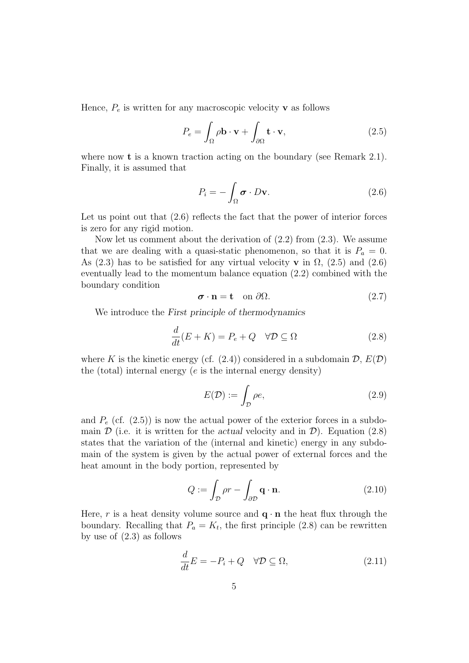Hence,  $P_e$  is written for any macroscopic velocity **v** as follows

$$
P_e = \int_{\Omega} \rho \mathbf{b} \cdot \mathbf{v} + \int_{\partial \Omega} \mathbf{t} \cdot \mathbf{v},\tag{2.5}
$$

where now **t** is a known traction acting on the boundary (see Remark 2.1). Finally, it is assumed that

$$
P_i = -\int_{\Omega} \boldsymbol{\sigma} \cdot D \mathbf{v}.
$$
 (2.6)

Let us point out that  $(2.6)$  reflects the fact that the power of interior forces is zero for any rigid motion.

Now let us comment about the derivation of (2.2) from (2.3). We assume that we are dealing with a quasi-static phenomenon, so that it is  $P_a = 0$ . As (2.3) has to be satisfied for any virtual velocity **v** in  $\Omega$ , (2.5) and (2.6) eventually lead to the momentum balance equation (2.2) combined with the boundary condition

$$
\boldsymbol{\sigma} \cdot \mathbf{n} = \mathbf{t} \quad \text{on } \partial \Omega. \tag{2.7}
$$

We introduce the First principle of thermodynamics

$$
\frac{d}{dt}(E+K) = P_e + Q \quad \forall \mathcal{D} \subseteq \Omega \tag{2.8}
$$

where K is the kinetic energy (cf.  $(2.4)$ ) considered in a subdomain  $\mathcal{D}, E(\mathcal{D})$ the (total) internal energy  $(e$  is the internal energy density)

$$
E(\mathcal{D}) := \int_{\mathcal{D}} \rho e,\tag{2.9}
$$

and  $P_e$  (cf. (2.5)) is now the actual power of the exterior forces in a subdomain  $\mathcal D$  (i.e. it is written for the actual velocity and in  $\mathcal D$ ). Equation (2.8) states that the variation of the (internal and kinetic) energy in any subdomain of the system is given by the actual power of external forces and the heat amount in the body portion, represented by

$$
Q := \int_{\mathcal{D}} \rho r - \int_{\partial \mathcal{D}} \mathbf{q} \cdot \mathbf{n}.
$$
 (2.10)

Here, r is a heat density volume source and  $\mathbf{q} \cdot \mathbf{n}$  the heat flux through the boundary. Recalling that  $P_a = K_t$ , the first principle (2.8) can be rewritten by use of (2.3) as follows

$$
\frac{d}{dt}E = -P_i + Q \quad \forall \mathcal{D} \subseteq \Omega,\tag{2.11}
$$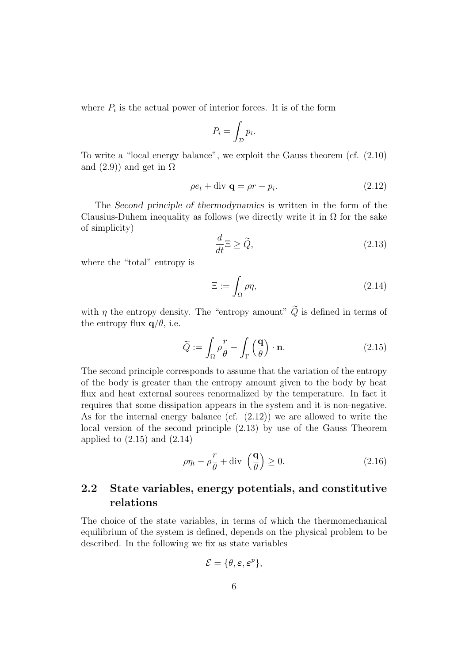where  $P_i$  is the actual power of interior forces. It is of the form

$$
P_i = \int_{\mathcal{D}} p_i.
$$

To write a "local energy balance", we exploit the Gauss theorem (cf. (2.10) and  $(2.9)$  and get in  $\Omega$ 

$$
\rho e_t + \text{div } \mathbf{q} = \rho r - p_i. \tag{2.12}
$$

The Second principle of thermodynamics is written in the form of the Clausius-Duhem inequality as follows (we directly write it in  $\Omega$  for the sake of simplicity)

$$
\frac{d}{dt}\Xi \ge \widetilde{Q},\tag{2.13}
$$

where the "total" entropy is

$$
\Xi := \int_{\Omega} \rho \eta,\tag{2.14}
$$

with  $\eta$  the entropy density. The "entropy amount"  $\widetilde{Q}$  is defined in terms of the entropy flux  $q/\theta$ , i.e.

$$
\widetilde{Q} := \int_{\Omega} \rho \frac{r}{\theta} - \int_{\Gamma} \left(\frac{\mathbf{q}}{\theta}\right) \cdot \mathbf{n}.
$$
\n(2.15)

The second principle corresponds to assume that the variation of the entropy of the body is greater than the entropy amount given to the body by heat flux and heat external sources renormalized by the temperature. In fact it requires that some dissipation appears in the system and it is non-negative. As for the internal energy balance (cf. (2.12)) we are allowed to write the local version of the second principle (2.13) by use of the Gauss Theorem applied to  $(2.15)$  and  $(2.14)$ 

$$
\rho \eta_t - \rho \frac{r}{\theta} + \text{div} \left( \frac{\mathbf{q}}{\theta} \right) \ge 0. \tag{2.16}
$$

### 2.2 State variables, energy potentials, and constitutive relations

The choice of the state variables, in terms of which the thermomechanical equilibrium of the system is defined, depends on the physical problem to be described. In the following we fix as state variables

$$
\mathcal{E} = \{\theta, \varepsilon, \varepsilon^p\},\
$$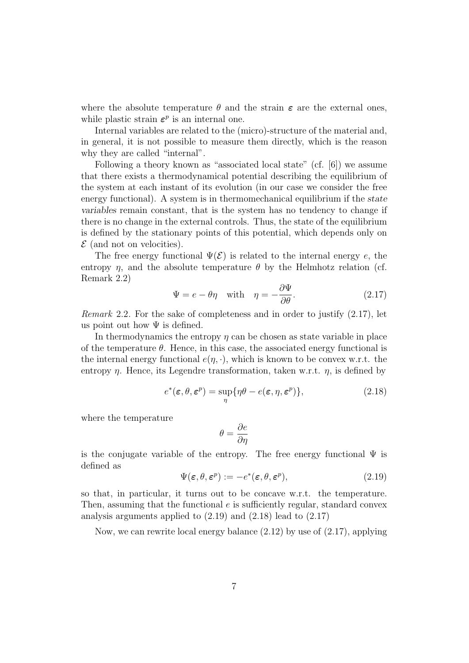where the absolute temperature  $\theta$  and the strain  $\epsilon$  are the external ones, while plastic strain  $\varepsilon^p$  is an internal one.

Internal variables are related to the (micro)-structure of the material and, in general, it is not possible to measure them directly, which is the reason why they are called "internal".

Following a theory known as "associated local state" (cf. [6]) we assume that there exists a thermodynamical potential describing the equilibrium of the system at each instant of its evolution (in our case we consider the free energy functional). A system is in thermomechanical equilibrium if the state variables remain constant, that is the system has no tendency to change if there is no change in the external controls. Thus, the state of the equilibrium is defined by the stationary points of this potential, which depends only on  $\mathcal E$  (and not on velocities).

The free energy functional  $\Psi(\mathcal{E})$  is related to the internal energy e, the entropy  $\eta$ , and the absolute temperature  $\theta$  by the Helmhotz relation (cf. Remark 2.2)

$$
\Psi = e - \theta \eta \quad \text{with} \quad \eta = -\frac{\partial \Psi}{\partial \theta}.
$$
\n(2.17)

Remark 2.2. For the sake of completeness and in order to justify (2.17), let us point out how  $\Psi$  is defined.

In thermodynamics the entropy  $\eta$  can be chosen as state variable in place of the temperature  $\theta$ . Hence, in this case, the associated energy functional is the internal energy functional  $e(\eta, \cdot)$ , which is known to be convex w.r.t. the entropy  $\eta$ . Hence, its Legendre transformation, taken w.r.t.  $\eta$ , is defined by

$$
e^*(\boldsymbol{\varepsilon}, \theta, \boldsymbol{\varepsilon}^p) = \sup_{\eta} \{ \eta \theta - e(\boldsymbol{\varepsilon}, \eta, \boldsymbol{\varepsilon}^p) \},
$$
\n(2.18)

where the temperature

$$
\theta = \frac{\partial e}{\partial \eta}
$$

is the conjugate variable of the entropy. The free energy functional  $\Psi$  is defined as

$$
\Psi(\varepsilon, \theta, \varepsilon^p) := -e^*(\varepsilon, \theta, \varepsilon^p),\tag{2.19}
$$

so that, in particular, it turns out to be concave w.r.t. the temperature. Then, assuming that the functional  $e$  is sufficiently regular, standard convex analysis arguments applied to (2.19) and (2.18) lead to (2.17)

Now, we can rewrite local energy balance (2.12) by use of (2.17), applying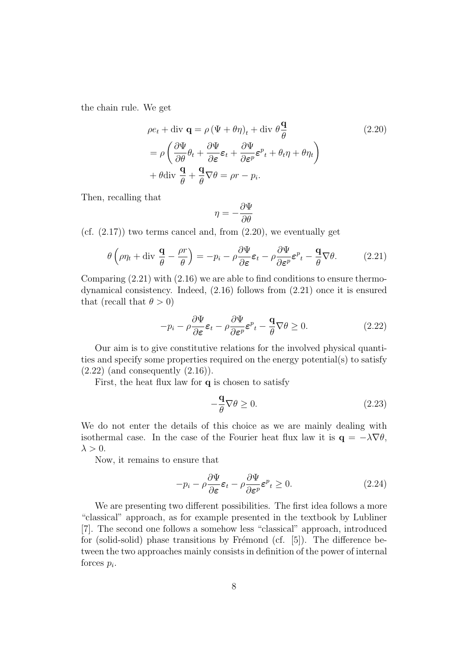the chain rule. We get

$$
\rho e_t + \text{div } \mathbf{q} = \rho (\Psi + \theta \eta)_t + \text{div } \theta \frac{\mathbf{q}}{\theta}
$$
\n
$$
= \rho \left( \frac{\partial \Psi}{\partial \theta} \theta_t + \frac{\partial \Psi}{\partial \varepsilon} \varepsilon_t + \frac{\partial \Psi}{\partial \varepsilon^p} \varepsilon^p{}_t + \theta_t \eta + \theta \eta_t \right)
$$
\n
$$
+ \theta \text{div } \frac{\mathbf{q}}{\theta} + \frac{\mathbf{q}}{\theta} \nabla \theta = \rho r - p_i.
$$
\n(2.20)

Then, recalling that

$$
\eta = -\frac{\partial \Psi}{\partial \theta}
$$

(cf.  $(2.17)$ ) two terms cancel and, from  $(2.20)$ , we eventually get

$$
\theta \left( \rho \eta_t + \text{div} \, \frac{\mathbf{q}}{\theta} - \frac{\rho r}{\theta} \right) = -p_i - \rho \frac{\partial \Psi}{\partial \varepsilon} \varepsilon_t - \rho \frac{\partial \Psi}{\partial \varepsilon^p} \varepsilon^p_t - \frac{\mathbf{q}}{\theta} \nabla \theta. \tag{2.21}
$$

Comparing (2.21) with (2.16) we are able to find conditions to ensure thermodynamical consistency. Indeed, (2.16) follows from (2.21) once it is ensured that (recall that  $\theta > 0$ )

$$
-p_i - \rho \frac{\partial \Psi}{\partial \varepsilon} \varepsilon_t - \rho \frac{\partial \Psi}{\partial \varepsilon^p} \varepsilon^p_t - \frac{\mathbf{q}}{\theta} \nabla \theta \ge 0.
$$
 (2.22)

Our aim is to give constitutive relations for the involved physical quantities and specify some properties required on the energy potential(s) to satisfy  $(2.22)$  (and consequently  $(2.16)$ ).

First, the heat flux law for  $q$  is chosen to satisfy

$$
-\frac{\mathbf{q}}{\theta}\nabla\theta \ge 0. \tag{2.23}
$$

We do not enter the details of this choice as we are mainly dealing with isothermal case. In the case of the Fourier heat flux law it is  $\mathbf{q} = -\lambda \nabla \theta$ ,  $\lambda > 0$ .

Now, it remains to ensure that

$$
-p_i - \rho \frac{\partial \Psi}{\partial \varepsilon} \varepsilon_t - \rho \frac{\partial \Psi}{\partial \varepsilon^p} \varepsilon^p_t \ge 0.
$$
 (2.24)

We are presenting two different possibilities. The first idea follows a more "classical" approach, as for example presented in the textbook by Lubliner [7]. The second one follows a somehow less "classical" approach, introduced for (solid-solid) phase transitions by Frémond (cf.  $[5]$ ). The difference between the two approaches mainly consists in definition of the power of internal forces  $p_i$ .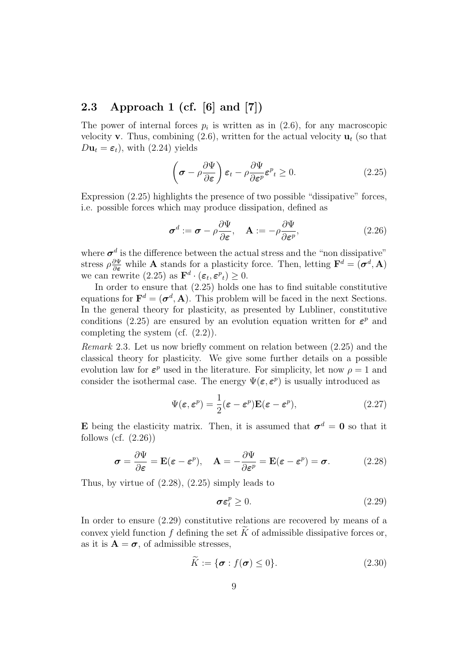### 2.3 Approach 1 (cf. [6] and [7])

The power of internal forces  $p_i$  is written as in  $(2.6)$ , for any macroscopic velocity **v**. Thus, combining  $(2.6)$ , written for the actual velocity  $\mathbf{u}_t$  (so that  $D\mathbf{u}_t = \boldsymbol{\varepsilon}_t$ , with (2.24) yields

$$
\left(\boldsymbol{\sigma} - \rho \frac{\partial \Psi}{\partial \boldsymbol{\varepsilon}}\right) \boldsymbol{\varepsilon}_t - \rho \frac{\partial \Psi}{\partial \boldsymbol{\varepsilon}^p} \boldsymbol{\varepsilon}^p_t \ge 0. \tag{2.25}
$$

Expression (2.25) highlights the presence of two possible "dissipative" forces, i.e. possible forces which may produce dissipation, defined as

$$
\boldsymbol{\sigma}^d := \boldsymbol{\sigma} - \rho \frac{\partial \Psi}{\partial \boldsymbol{\varepsilon}}, \quad \mathbf{A} := -\rho \frac{\partial \Psi}{\partial \boldsymbol{\varepsilon}^p}, \tag{2.26}
$$

where  $\sigma^d$  is the difference between the actual stress and the "non dissipative" stress  $\rho \frac{\partial \Psi}{\partial \varepsilon}$  while **A** stands for a plasticity force. Then, letting  $\mathbf{F}^d = (\sigma^d, \mathbf{A})$ we can rewrite  $(2.25)$  as  $\mathbf{F}^d \cdot (\boldsymbol{\varepsilon}_t, \boldsymbol{\varepsilon}^p_t) \geq 0$ .

In order to ensure that (2.25) holds one has to find suitable constitutive equations for  $\mathbf{F}^d = (\boldsymbol{\sigma}^d, \mathbf{A})$ . This problem will be faced in the next Sections. In the general theory for plasticity, as presented by Lubliner, constitutive conditions (2.25) are ensured by an evolution equation written for  $\varepsilon^p$  and completing the system (cf. (2.2)).

Remark 2.3. Let us now briefly comment on relation between (2.25) and the classical theory for plasticity. We give some further details on a possible evolution law for  $\varepsilon^p$  used in the literature. For simplicity, let now  $\rho = 1$  and consider the isothermal case. The energy  $\Psi(\varepsilon, \varepsilon^p)$  is usually introduced as

$$
\Psi(\varepsilon, \varepsilon^p) = \frac{1}{2} (\varepsilon - \varepsilon^p) \mathbf{E} (\varepsilon - \varepsilon^p), \tag{2.27}
$$

**E** being the elasticity matrix. Then, it is assumed that  $\sigma^d = 0$  so that it follows (cf.  $(2.26)$ )

$$
\boldsymbol{\sigma} = \frac{\partial \Psi}{\partial \boldsymbol{\varepsilon}} = \mathbf{E}(\boldsymbol{\varepsilon} - \boldsymbol{\varepsilon}^p), \quad \mathbf{A} = -\frac{\partial \Psi}{\partial \boldsymbol{\varepsilon}^p} = \mathbf{E}(\boldsymbol{\varepsilon} - \boldsymbol{\varepsilon}^p) = \boldsymbol{\sigma}.
$$
 (2.28)

Thus, by virtue of (2.28), (2.25) simply leads to

$$
\sigma \varepsilon_t^p \ge 0. \tag{2.29}
$$

In order to ensure (2.29) constitutive relations are recovered by means of a convex yield function f defining the set  $\widetilde{K}$  of admissible dissipative forces or, as it is  $\mathbf{A} = \boldsymbol{\sigma}$ , of admissible stresses,

$$
\widetilde{K} := \{ \sigma : f(\sigma) \le 0 \}. \tag{2.30}
$$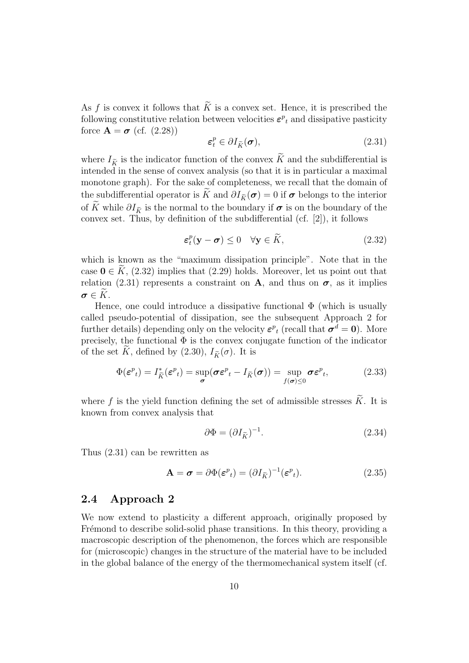As f is convex it follows that  $K$  is a convex set. Hence, it is prescribed the following constitutive relation between velocities  $\varepsilon^{p}_{t}$  and dissipative pasticity force  $\mathbf{A} = \boldsymbol{\sigma}$  (cf. (2.28))

$$
\varepsilon_t^p \in \partial I_{\widetilde{K}}(\sigma),\tag{2.31}
$$

where  $I_{\tilde{\kappa}}$  is the indicator function of the convex  $\tilde{K}$  and the subdifferential is intended in the sense of convex analysis (so that it is in particular a maximal monotone graph). For the sake of completeness, we recall that the domain of the subdifferential operator is  $\widetilde{K}$  and  $\partial I_{\widetilde{K}}(\sigma) = 0$  if  $\sigma$  belongs to the interior of  $\widetilde{K}$  while  $\partial I_{\widetilde{K}}$  is the normal to the boundary if  $\sigma$  is on the boundary of the convex set. Thus, by definition of the subdifferential (cf. [2]), it follows

$$
\varepsilon_t^p(\mathbf{y} - \boldsymbol{\sigma}) \le 0 \quad \forall \mathbf{y} \in \widetilde{K}, \tag{2.32}
$$

which is known as the "maximum dissipation principle". Note that in the case  $0 \in K$ , (2.32) implies that (2.29) holds. Moreover, let us point out that relation (2.31) represents a constraint on A, and thus on  $\sigma$ , as it implies  $\sigma \in K$ .

Hence, one could introduce a dissipative functional  $\Phi$  (which is usually called pseudo-potential of dissipation, see the subsequent Approach 2 for further details) depending only on the velocity  $\varepsilon^{p}_{t}$  (recall that  $\sigma^{d} = 0$ ). More precisely, the functional  $\Phi$  is the convex conjugate function of the indicator of the set  $\tilde{K}$ , defined by (2.30),  $I_{\tilde{K}}(\sigma)$ . It is

$$
\Phi(\boldsymbol{\varepsilon}^p_t) = I_{\tilde{K}}^*(\boldsymbol{\varepsilon}^p_t) = \sup_{\boldsymbol{\sigma}} (\boldsymbol{\sigma}\boldsymbol{\varepsilon}^p_t - I_{\tilde{K}}(\boldsymbol{\sigma})) = \sup_{f(\boldsymbol{\sigma}) \le 0} \boldsymbol{\sigma}\boldsymbol{\varepsilon}^p_t,\tag{2.33}
$$

where f is the yield function defining the set of admissible stresses  $\tilde{K}$ . It is known from convex analysis that

$$
\partial \Phi = (\partial I_{\tilde{K}})^{-1}.
$$
\n(2.34)

Thus (2.31) can be rewritten as

$$
\mathbf{A} = \boldsymbol{\sigma} = \partial \Phi(\boldsymbol{\varepsilon}^p_t) = (\partial I_{\widetilde{K}})^{-1} (\boldsymbol{\varepsilon}^p_t). \tag{2.35}
$$

### 2.4 Approach 2

We now extend to plasticity a different approach, originally proposed by Frémond to describe solid-solid phase transitions. In this theory, providing a macroscopic description of the phenomenon, the forces which are responsible for (microscopic) changes in the structure of the material have to be included in the global balance of the energy of the thermomechanical system itself (cf.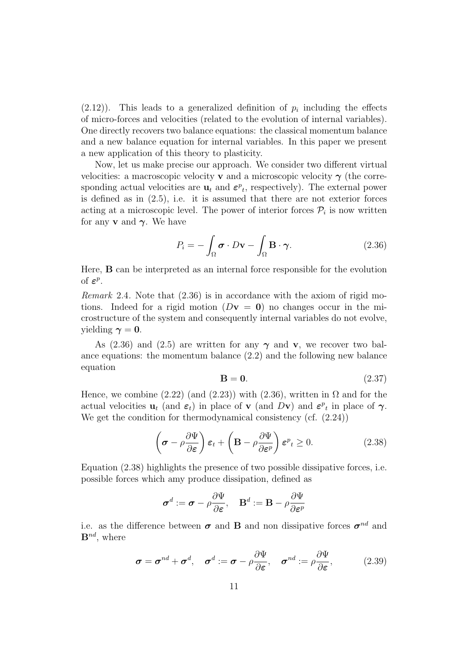$(2.12)$ ). This leads to a generalized definition of  $p_i$  including the effects of micro-forces and velocities (related to the evolution of internal variables). One directly recovers two balance equations: the classical momentum balance and a new balance equation for internal variables. In this paper we present a new application of this theory to plasticity.

Now, let us make precise our approach. We consider two different virtual velocities: a macroscopic velocity **v** and a microscopic velocity  $\gamma$  (the corresponding actual velocities are  $\mathbf{u}_t$  and  $\boldsymbol{\varepsilon}^p{}_{t}$ , respectively). The external power is defined as in  $(2.5)$ , i.e. it is assumed that there are not exterior forces acting at a microscopic level. The power of interior forces  $P_i$  is now written for any **v** and  $\gamma$ . We have

$$
P_i = -\int_{\Omega} \boldsymbol{\sigma} \cdot D\mathbf{v} - \int_{\Omega} \mathbf{B} \cdot \boldsymbol{\gamma}.
$$
 (2.36)

Here, B can be interpreted as an internal force responsible for the evolution of  $\varepsilon^p$ .

Remark 2.4. Note that (2.36) is in accordance with the axiom of rigid motions. Indeed for a rigid motion  $(Dv = 0)$  no changes occur in the microstructure of the system and consequently internal variables do not evolve, yielding  $\gamma = 0$ .

As (2.36) and (2.5) are written for any  $\gamma$  and v, we recover two balance equations: the momentum balance (2.2) and the following new balance equation

$$
\mathbf{B} = \mathbf{0}.\tag{2.37}
$$

Hence, we combine (2.22) (and (2.23)) with (2.36), written in  $\Omega$  and for the actual velocities  $\mathbf{u}_t$  (and  $\boldsymbol{\varepsilon}_t$ ) in place of  $\mathbf{v}$  (and  $D\mathbf{v}$ ) and  $\boldsymbol{\varepsilon}^p{}$  in place of  $\boldsymbol{\gamma}$ . We get the condition for thermodynamical consistency (cf.  $(2.24)$ )

$$
\left(\boldsymbol{\sigma} - \rho \frac{\partial \Psi}{\partial \boldsymbol{\varepsilon}}\right) \boldsymbol{\varepsilon}_t + \left(\mathbf{B} - \rho \frac{\partial \Psi}{\partial \boldsymbol{\varepsilon}^p}\right) \boldsymbol{\varepsilon}^p_t \ge 0. \tag{2.38}
$$

Equation (2.38) highlights the presence of two possible dissipative forces, i.e. possible forces which amy produce dissipation, defined as

$$
\boldsymbol{\sigma}^d := \boldsymbol{\sigma} - \rho \frac{\partial \Psi}{\partial \boldsymbol{\varepsilon}}, \quad \mathbf{B}^d := \mathbf{B} - \rho \frac{\partial \Psi}{\partial \boldsymbol{\varepsilon}^p}
$$

i.e. as the difference between  $\sigma$  and **B** and non dissipative forces  $\sigma^{nd}$  and  $\mathbf{B}^{nd}$ , where

$$
\boldsymbol{\sigma} = \boldsymbol{\sigma}^{nd} + \boldsymbol{\sigma}^d, \quad \boldsymbol{\sigma}^d := \boldsymbol{\sigma} - \rho \frac{\partial \Psi}{\partial \boldsymbol{\varepsilon}}, \quad \boldsymbol{\sigma}^{nd} := \rho \frac{\partial \Psi}{\partial \boldsymbol{\varepsilon}}, \tag{2.39}
$$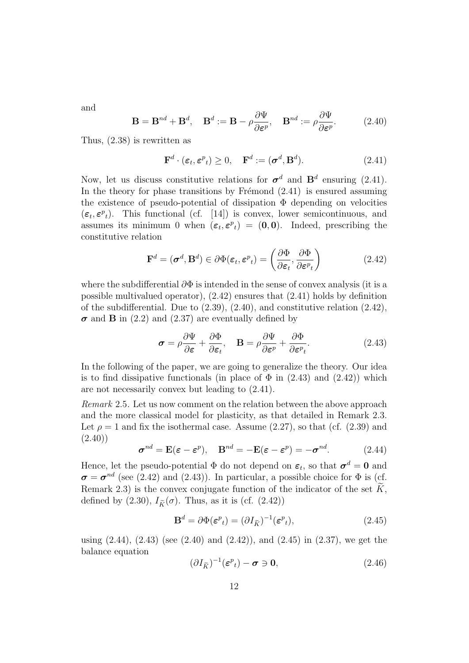and

$$
\mathbf{B} = \mathbf{B}^{nd} + \mathbf{B}^d, \quad \mathbf{B}^d := \mathbf{B} - \rho \frac{\partial \Psi}{\partial \varepsilon^p}, \quad \mathbf{B}^{nd} := \rho \frac{\partial \Psi}{\partial \varepsilon^p}.
$$
 (2.40)

Thus, (2.38) is rewritten as

$$
\mathbf{F}^d \cdot (\boldsymbol{\varepsilon}_t, \boldsymbol{\varepsilon}^p_t) \ge 0, \quad \mathbf{F}^d := (\boldsymbol{\sigma}^d, \mathbf{B}^d). \tag{2.41}
$$

Now, let us discuss constitutive relations for  $\sigma^d$  and  $\mathbf{B}^d$  ensuring (2.41). In the theory for phase transitions by Frémond  $(2.41)$  is ensured assuming the existence of pseudo-potential of dissipation  $\Phi$  depending on velocities  $(\epsilon_t, \epsilon^p_t)$ . This functional (cf. [14]) is convex, lower semicontinuous, and assumes its minimum 0 when  $(\epsilon_t, \epsilon^p_t) = (0, 0)$ . Indeed, prescribing the constitutive relation

$$
\mathbf{F}^d = (\boldsymbol{\sigma}^d, \mathbf{B}^d) \in \partial \Phi(\boldsymbol{\varepsilon}_t, \boldsymbol{\varepsilon}^p_t) = \left(\frac{\partial \Phi}{\partial \boldsymbol{\varepsilon}_t}, \frac{\partial \Phi}{\partial \boldsymbol{\varepsilon}^p_t}\right) \tag{2.42}
$$

where the subdifferential  $\partial \Phi$  is intended in the sense of convex analysis (it is a possible multivalued operator), (2.42) ensures that (2.41) holds by definition of the subdifferential. Due to (2.39), (2.40), and constitutive relation (2.42),  $\sigma$  and **B** in (2.2) and (2.37) are eventually defined by

$$
\boldsymbol{\sigma} = \rho \frac{\partial \Psi}{\partial \boldsymbol{\varepsilon}} + \frac{\partial \Phi}{\partial \boldsymbol{\varepsilon}_t}, \quad \mathbf{B} = \rho \frac{\partial \Psi}{\partial \boldsymbol{\varepsilon}^p} + \frac{\partial \Phi}{\partial \boldsymbol{\varepsilon}^p_t}.
$$
 (2.43)

In the following of the paper, we are going to generalize the theory. Our idea is to find dissipative functionals (in place of  $\Phi$  in (2.43) and (2.42)) which are not necessarily convex but leading to (2.41).

Remark 2.5. Let us now comment on the relation between the above approach and the more classical model for plasticity, as that detailed in Remark 2.3. Let  $\rho = 1$  and fix the isothermal case. Assume (2.27), so that (cf. (2.39) and  $(2.40)$ 

$$
\boldsymbol{\sigma}^{nd} = \mathbf{E}(\boldsymbol{\varepsilon} - \boldsymbol{\varepsilon}^p), \quad \mathbf{B}^{nd} = -\mathbf{E}(\boldsymbol{\varepsilon} - \boldsymbol{\varepsilon}^p) = -\boldsymbol{\sigma}^{nd}.
$$
 (2.44)

Hence, let the pseudo-potential  $\Phi$  do not depend on  $\varepsilon_t$ , so that  $\sigma^d = 0$  and  $\sigma = \sigma^{nd}$  (see (2.42) and (2.43)). In particular, a possible choice for  $\Phi$  is (cf. Remark 2.3) is the convex conjugate function of the indicator of the set  $\widetilde{K}$ , defined by (2.30),  $I_{\tilde{K}}(\sigma)$ . Thus, as it is (cf. (2.42))

$$
\mathbf{B}^d = \partial \Phi(\boldsymbol{\varepsilon}^p_t) = (\partial I_{\tilde{K}})^{-1} (\boldsymbol{\varepsilon}^p_t), \tag{2.45}
$$

using (2.44), (2.43) (see (2.40) and (2.42)), and (2.45) in (2.37), we get the balance equation

$$
(\partial I_{\tilde{K}})^{-1}(\boldsymbol{\varepsilon}^p_t) - \boldsymbol{\sigma} \ni \mathbf{0},\tag{2.46}
$$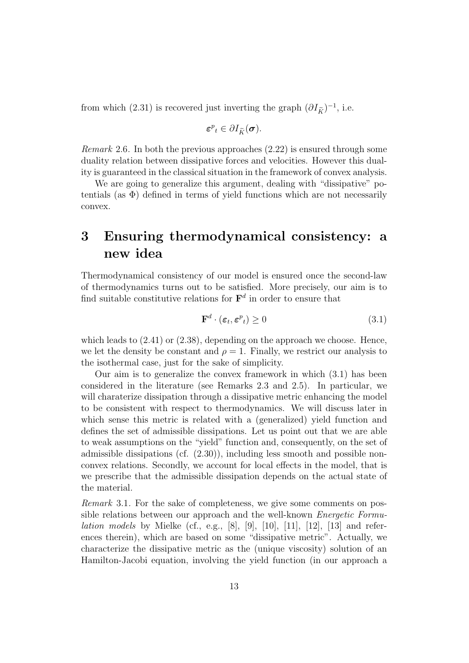from which (2.31) is recovered just inverting the graph  $(\partial I_{\tilde{K}})^{-1}$ , i.e.

$$
\boldsymbol{\varepsilon}^{p}{}_{t} \in \partial I_{\widetilde{K}}(\boldsymbol{\sigma}).
$$

Remark 2.6. In both the previous approaches (2.22) is ensured through some duality relation between dissipative forces and velocities. However this duality is guaranteed in the classical situation in the framework of convex analysis.

We are going to generalize this argument, dealing with "dissipative" potentials (as  $\Phi$ ) defined in terms of yield functions which are not necessarily convex.

# 3 Ensuring thermodynamical consistency: a new idea

Thermodynamical consistency of our model is ensured once the second-law of thermodynamics turns out to be satisfied. More precisely, our aim is to find suitable constitutive relations for  $\mathbf{F}^d$  in order to ensure that

$$
\mathbf{F}^d \cdot (\varepsilon_t, \varepsilon^p_t) \ge 0 \tag{3.1}
$$

which leads to  $(2.41)$  or  $(2.38)$ , depending on the approach we choose. Hence, we let the density be constant and  $\rho = 1$ . Finally, we restrict our analysis to the isothermal case, just for the sake of simplicity.

Our aim is to generalize the convex framework in which (3.1) has been considered in the literature (see Remarks 2.3 and 2.5). In particular, we will charaterize dissipation through a dissipative metric enhancing the model to be consistent with respect to thermodynamics. We will discuss later in which sense this metric is related with a (generalized) yield function and defines the set of admissible dissipations. Let us point out that we are able to weak assumptions on the "yield" function and, consequently, on the set of admissible dissipations (cf. (2.30)), including less smooth and possible nonconvex relations. Secondly, we account for local effects in the model, that is we prescribe that the admissible dissipation depends on the actual state of the material.

Remark 3.1. For the sake of completeness, we give some comments on possible relations between our approach and the well-known Energetic Formu*lation models* by Mielke (cf., e.g., [8], [9], [10], [11], [12], [13] and references therein), which are based on some "dissipative metric". Actually, we characterize the dissipative metric as the (unique viscosity) solution of an Hamilton-Jacobi equation, involving the yield function (in our approach a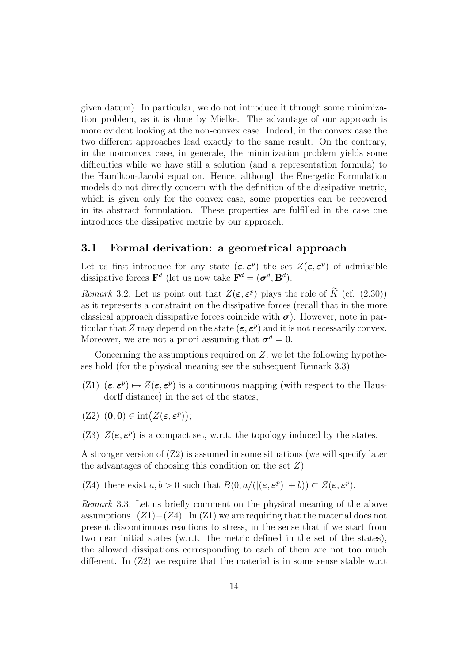given datum). In particular, we do not introduce it through some minimization problem, as it is done by Mielke. The advantage of our approach is more evident looking at the non-convex case. Indeed, in the convex case the two different approaches lead exactly to the same result. On the contrary, in the nonconvex case, in generale, the minimization problem yields some difficulties while we have still a solution (and a representation formula) to the Hamilton-Jacobi equation. Hence, although the Energetic Formulation models do not directly concern with the definition of the dissipative metric, which is given only for the convex case, some properties can be recovered in its abstract formulation. These properties are fulfilled in the case one introduces the dissipative metric by our approach.

### 3.1 Formal derivation: a geometrical approach

Let us first introduce for any state  $(\epsilon, \epsilon^p)$  the set  $Z(\epsilon, \epsilon^p)$  of admissible dissipative forces  $\mathbf{F}^d$  (let us now take  $\mathbf{F}^d = (\boldsymbol{\sigma}^d, \mathbf{B}^d)$ .

Remark 3.2. Let us point out that  $Z(\varepsilon, \varepsilon^p)$  plays the role of  $K$  (cf. (2.30)) as it represents a constraint on the dissipative forces (recall that in the more classical approach dissipative forces coincide with  $\sigma$ ). However, note in particular that Z may depend on the state  $(\epsilon, \epsilon^p)$  and it is not necessarily convex. Moreover, we are not a priori assuming that  $\sigma^d = 0$ .

Concerning the assumptions required on  $Z$ , we let the following hypotheses hold (for the physical meaning see the subsequent Remark 3.3)

- (Z1)  $(\epsilon, \epsilon^p) \mapsto Z(\epsilon, \epsilon^p)$  is a continuous mapping (with respect to the Hausdorff distance) in the set of the states;
- $(Z2)$   $(0,0) \in \text{int}(Z(\varepsilon, \varepsilon^p));$
- (Z3)  $Z(\varepsilon, \varepsilon^p)$  is a compact set, w.r.t. the topology induced by the states.

A stronger version of  $(22)$  is assumed in some situations (we will specify later the advantages of choosing this condition on the set  $Z$ )

(Z4) there exist  $a, b > 0$  such that  $B(0, a/((\epsilon, \epsilon^p)| + b)) \subset Z(\epsilon, \epsilon^p)$ .

Remark 3.3. Let us briefly comment on the physical meaning of the above assumptions.  $(Z1)–(Z4)$ . In  $(Z1)$  we are requiring that the material does not present discontinuous reactions to stress, in the sense that if we start from two near initial states (w.r.t. the metric defined in the set of the states), the allowed dissipations corresponding to each of them are not too much different. In  $(Z2)$  we require that the material is in some sense stable w.r.t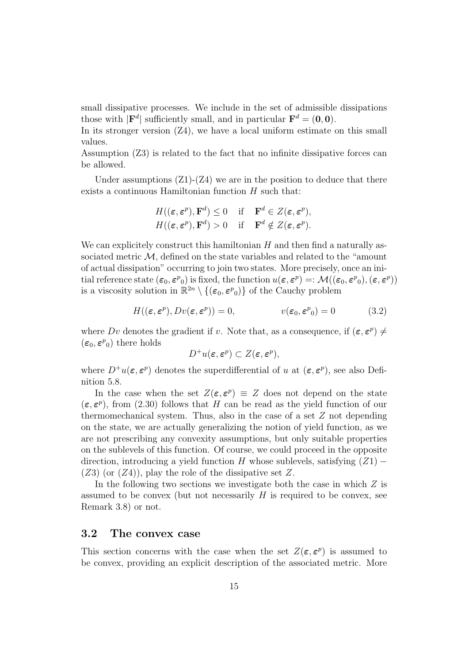small dissipative processes. We include in the set of admissible dissipations those with  $|\mathbf{F}^d|$  sufficiently small, and in particular  $\mathbf{F}^d = (0,0)$ .

In its stronger version  $(Z_4)$ , we have a local uniform estimate on this small values.

Assumption (Z3) is related to the fact that no infinite dissipative forces can be allowed.

Under assumptions  $(Z1)-(Z4)$  we are in the position to deduce that there exists a continuous Hamiltonian function  $H$  such that:

$$
H((\varepsilon, \varepsilon^p), \mathbf{F}^d) \le 0 \quad \text{if} \quad \mathbf{F}^d \in Z(\varepsilon, \varepsilon^p),
$$
  

$$
H((\varepsilon, \varepsilon^p), \mathbf{F}^d) > 0 \quad \text{if} \quad \mathbf{F}^d \notin Z(\varepsilon, \varepsilon^p).
$$

We can explicitely construct this hamiltonian  $H$  and then find a naturally associated metric  $M$ , defined on the state variables and related to the "amount" of actual dissipation" occurring to join two states. More precisely, once an initial reference state  $(\epsilon_0, \epsilon^p{}_0)$  is fixed, the function  $u(\epsilon, \epsilon^p) =: \mathcal{M}((\epsilon_0, \epsilon^p{}_0), (\epsilon, \epsilon^p))$ is a viscosity solution in  $\mathbb{R}^{2n} \setminus \{(\varepsilon_0, \varepsilon^p{}_0)\}\$  of the Cauchy problem

$$
H((\varepsilon, \varepsilon^p), Dv(\varepsilon, \varepsilon^p)) = 0, \qquad v(\varepsilon_0, \varepsilon^p) = 0 \tag{3.2}
$$

where Dv denotes the gradient if v. Note that, as a consequence, if  $(\epsilon, \epsilon^p) \neq$  $(\epsilon_0, \epsilon^p{}_0)$  there holds

$$
D^+u(\boldsymbol{\varepsilon},\boldsymbol{\varepsilon}^p)\subset Z(\boldsymbol{\varepsilon},\boldsymbol{\varepsilon}^p),
$$

where  $D^+u(\varepsilon, \varepsilon^p)$  denotes the superdifferential of u at  $(\varepsilon, \varepsilon^p)$ , see also Definition 5.8.

In the case when the set  $Z(\epsilon, \epsilon^p) \equiv Z$  does not depend on the state  $(\epsilon, \epsilon^p)$ , from (2.30) follows that H can be read as the yield function of our thermomechanical system. Thus, also in the case of a set  $Z$  not depending on the state, we are actually generalizing the notion of yield function, as we are not prescribing any convexity assumptions, but only suitable properties on the sublevels of this function. Of course, we could proceed in the opposite direction, introducing a yield function H whose sublevels, satisfying  $(Z1)$  –  $(Z3)$  (or  $(Z4)$ ), play the role of the dissipative set Z.

In the following two sections we investigate both the case in which  $Z$  is assumed to be convex (but not necessarily  $H$  is required to be convex, see Remark 3.8) or not.

### 3.2 The convex case

This section concerns with the case when the set  $Z(\varepsilon, \varepsilon^p)$  is assumed to be convex, providing an explicit description of the associated metric. More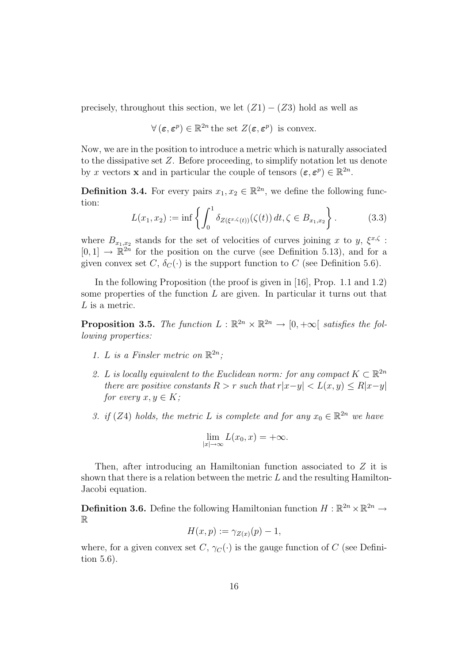precisely, throughout this section, we let  $(Z1) - (Z3)$  hold as well as

$$
\forall (\varepsilon, \varepsilon^p) \in \mathbb{R}^{2n} \text{ the set } Z(\varepsilon, \varepsilon^p) \text{ is convex.}
$$

Now, we are in the position to introduce a metric which is naturally associated to the dissipative set Z. Before proceeding, to simplify notation let us denote by x vectors **x** and in particular the couple of tensors  $(\boldsymbol{\varepsilon}, \boldsymbol{\varepsilon}^p) \in \mathbb{R}^{2n}$ .

**Definition 3.4.** For every pairs  $x_1, x_2 \in \mathbb{R}^{2n}$ , we define the following function:

$$
L(x_1, x_2) := \inf \left\{ \int_0^1 \delta_{Z(\xi^x, \zeta(t))} (\zeta(t)) dt, \zeta \in B_{x_1, x_2} \right\}.
$$
 (3.3)

where  $B_{x_1,x_2}$  stands for the set of velocities of curves joining x to y,  $\xi^{x,\zeta}$ :  $[0,1] \rightarrow \mathbb{R}^{2n}$  for the position on the curve (see Definition 5.13), and for a given convex set C,  $\delta_C(\cdot)$  is the support function to C (see Definition 5.6).

In the following Proposition (the proof is given in [16], Prop. 1.1 and 1.2) some properties of the function  $L$  are given. In particular it turns out that  ${\cal L}$  is a metric.

**Proposition 3.5.** The function  $L : \mathbb{R}^{2n} \times \mathbb{R}^{2n} \to [0, +\infty[$  satisfies the following properties:

- 1. L is a Finsler metric on  $\mathbb{R}^{2n}$ ;
- 2. L is locally equivalent to the Euclidean norm: for any compact  $K \subset \mathbb{R}^{2n}$ there are positive constants  $R > r$  such that  $r|x-y| < L(x, y) \le R|x-y|$ for every  $x, y \in K$ ;
- 3. if (Z4) holds, the metric L is complete and for any  $x_0 \in \mathbb{R}^{2n}$  we have

$$
\lim_{|x| \to \infty} L(x_0, x) = +\infty.
$$

Then, after introducing an Hamiltonian function associated to Z it is shown that there is a relation between the metric  $L$  and the resulting Hamilton-Jacobi equation.

**Definition 3.6.** Define the following Hamiltonian function  $H : \mathbb{R}^{2n} \times \mathbb{R}^{2n} \to$ R

$$
H(x,p) := \gamma_{Z(x)}(p) - 1,
$$

where, for a given convex set C,  $\gamma_C(\cdot)$  is the gauge function of C (see Definition 5.6).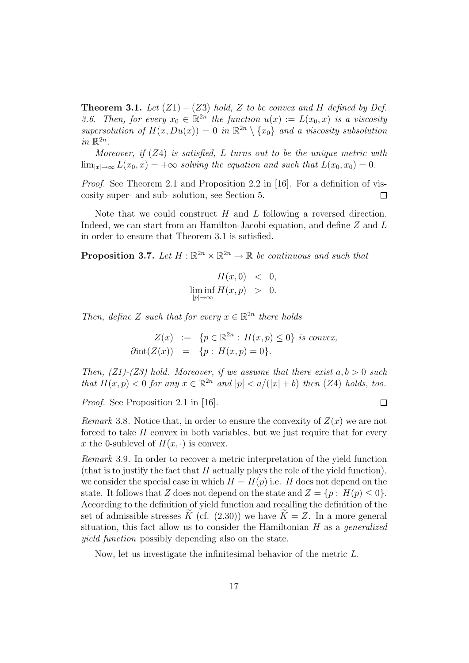**Theorem 3.1.** Let  $(Z1) - (Z3)$  hold, Z to be convex and H defined by Def. 3.6. Then, for every  $x_0 \in \mathbb{R}^{2n}$  the function  $u(x) := L(x_0, x)$  is a viscosity supersolution of  $H(x, Du(x)) = 0$  in  $\mathbb{R}^{2n} \setminus \{x_0\}$  and a viscosity subsolution in  $\mathbb{R}^{2n}$ .

Moreover, if  $(Z4)$  is satisfied, L turns out to be the unique metric with  $\lim_{|x|\to\infty} L(x_0, x) = +\infty$  solving the equation and such that  $L(x_0, x_0) = 0$ .

*Proof.* See Theorem 2.1 and Proposition 2.2 in [16]. For a definition of viscosity super- and sub- solution, see Section 5.  $\Box$ 

Note that we could construct  $H$  and  $L$  following a reversed direction. Indeed, we can start from an Hamilton-Jacobi equation, and define Z and L in order to ensure that Theorem 3.1 is satisfied.

**Proposition 3.7.** Let  $H : \mathbb{R}^{2n} \times \mathbb{R}^{2n} \to \mathbb{R}$  be continuous and such that

$$
H(x,0) < 0,
$$
  

$$
\liminf_{|p| \to \infty} H(x,p) > 0.
$$

Then, define Z such that for every  $x \in \mathbb{R}^{2n}$  there holds

$$
Z(x) := \{ p \in \mathbb{R}^{2n} : H(x, p) \le 0 \} \text{ is convex,}
$$
  

$$
\partial \text{int}(Z(x)) = \{ p : H(x, p) = 0 \}.
$$

Then,  $(Z1)$ - $(Z3)$  hold. Moreover, if we assume that there exist  $a, b > 0$  such that  $H(x, p) < 0$  for any  $x \in \mathbb{R}^{2n}$  and  $|p| < a/(|x| + b)$  then (Z4) holds, too.

 $\Box$ 

Proof. See Proposition 2.1 in [16].

Remark 3.8. Notice that, in order to ensure the convexity of  $Z(x)$  we are not forced to take H convex in both variables, but we just require that for every x the 0-sublevel of  $H(x, \cdot)$  is convex.

Remark 3.9. In order to recover a metric interpretation of the yield function (that is to justify the fact that  $H$  actually plays the role of the yield function), we consider the special case in which  $H = H(p)$  i.e. H does not depend on the state. It follows that Z does not depend on the state and  $Z = \{p : H(p) \le 0\}.$ According to the definition of yield function and recalling the definition of the set of admissible stresses K (cf. (2.30)) we have  $\widetilde{K} = Z$ . In a more general situation, this fact allow us to consider the Hamiltonian  $H$  as a *generalized* yield function possibly depending also on the state.

Now, let us investigate the infinitesimal behavior of the metric L.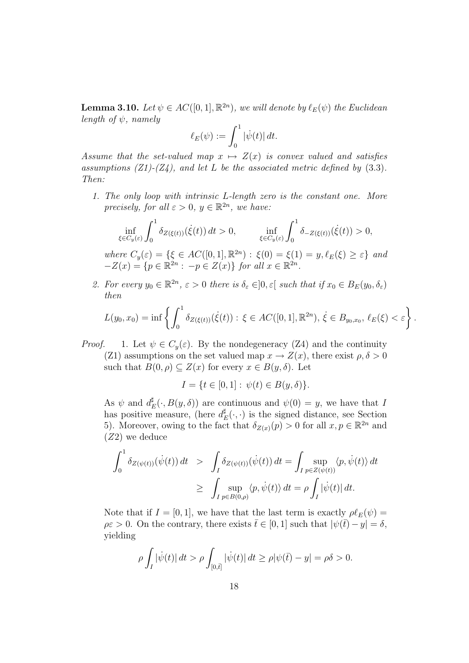**Lemma 3.10.** Let  $\psi \in AC([0,1], \mathbb{R}^{2n})$ , we will denote by  $\ell_E(\psi)$  the Euclidean length of  $\psi$ , namely

$$
\ell_E(\psi) := \int_0^1 |\dot{\psi}(t)| dt.
$$

Assume that the set-valued map  $x \mapsto Z(x)$  is convex valued and satisfies assumptions  $(Z1)$ - $(Z4)$ , and let L be the associated metric defined by  $(3.3)$ . Then:

1. The only loop with intrinsic L-length zero is the constant one. More precisely, for all  $\varepsilon > 0$ ,  $y \in \mathbb{R}^{2n}$ , we have:

$$
\inf_{\xi \in C_y(\varepsilon)} \int_0^1 \delta_{Z(\xi(t))}(\dot{\xi}(t)) dt > 0, \qquad \inf_{\xi \in C_y(\varepsilon)} \int_0^1 \delta_{-Z(\xi(t))}(\dot{\xi}(t)) > 0,
$$
  
where  $C_y(\varepsilon) = \{\xi \in AC([0, 1], \mathbb{R}^{2n}) : \xi(0) = \xi(1) = y, \ell_E(\xi) \ge \varepsilon\}$  and  

$$
-Z(x) = \{p \in \mathbb{R}^{2n} : -p \in Z(x)\} \text{ for all } x \in \mathbb{R}^{2n}.
$$

2. For every  $y_0 \in \mathbb{R}^{2n}$ ,  $\varepsilon > 0$  there is  $\delta_{\varepsilon} \in ]0, \varepsilon[$  such that if  $x_0 \in B_E(y_0, \delta_{\varepsilon})$ then

$$
L(y_0, x_0) = \inf \left\{ \int_0^1 \delta_{Z(\xi(t))}(\xi(t)) : \xi \in AC([0, 1], \mathbb{R}^{2n}), \xi \in B_{y_0, x_0}, \ell_E(\xi) < \varepsilon \right\}.
$$

*Proof.* 1. Let  $\psi \in C_y(\varepsilon)$ . By the nondegeneracy (Z4) and the continuity (Z1) assumptions on the set valued map  $x \to Z(x)$ , there exist  $\rho, \delta > 0$ such that  $B(0, \rho) \subset Z(x)$  for every  $x \in B(y, \delta)$ . Let

$$
I = \{ t \in [0, 1] : \psi(t) \in B(y, \delta) \}.
$$

As  $\psi$  and  $d_I^{\sharp}$  $E(E(\cdot, B(y, \delta))$  are continuous and  $\psi(0) = y$ , we have that I has positive measure, (here  $d_l^{\sharp}$  $E(E(\cdot, \cdot))$  is the signed distance, see Section 5). Moreover, owing to the fact that  $\delta_{Z(x)}(p) > 0$  for all  $x, p \in \mathbb{R}^{2n}$  and (Z2) we deduce

$$
\int_0^1 \delta_{Z(\psi(t))}(\dot{\psi}(t)) dt > \int_I \delta_{Z(\psi(t))}(\dot{\psi}(t)) dt = \int_I \sup_{p \in Z(\psi(t))} \langle p, \dot{\psi}(t) \rangle dt
$$
  
 
$$
\geq \int_I \sup_{p \in B(0,\rho)} \langle p, \dot{\psi}(t) \rangle dt = \rho \int_I |\dot{\psi}(t)| dt.
$$

Note that if  $I = [0, 1]$ , we have that the last term is exactly  $\rho \ell_E(\psi) =$  $\rho \varepsilon > 0$ . On the contrary, there exists  $\bar{t} \in [0, 1]$  such that  $|\psi(\bar{t}) - y| = \delta$ , yielding

$$
\rho \int_I |\dot{\psi}(t)| \, dt > \rho \int_{[0,\bar{t}]} |\dot{\psi}(t)| \, dt \ge \rho |\psi(\bar{t}) - y| = \rho \delta > 0.
$$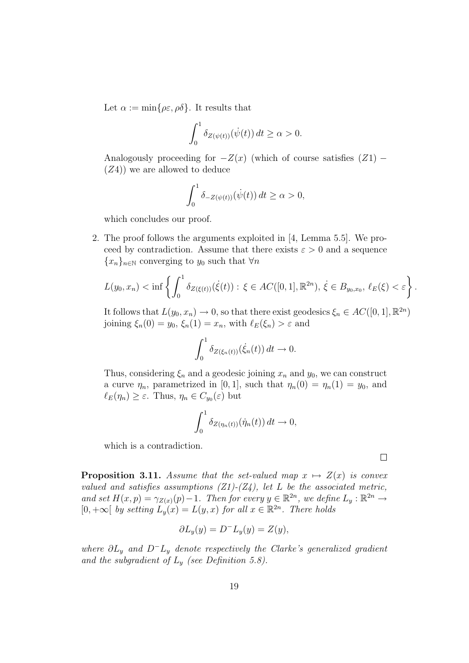Let  $\alpha := \min\{\rho \varepsilon, \rho \delta\}$ . It results that

$$
\int_0^1 \delta_{Z(\psi(t))}(\dot{\psi}(t)) dt \ge \alpha > 0.
$$

Analogously proceeding for  $-Z(x)$  (which of course satisfies  $(Z1)$  –  $(Z4)$ ) we are allowed to deduce

$$
\int_0^1 \delta_{-Z(\psi(t))}(\dot{\psi}(t)) dt \ge \alpha > 0,
$$

which concludes our proof.

2. The proof follows the arguments exploited in [4, Lemma 5.5]. We proceed by contradiction. Assume that there exists  $\varepsilon > 0$  and a sequence  ${x_n}_{n\in\mathbb{N}}$  converging to  $y_0$  such that  $\forall n$ 

$$
L(y_0, x_n) < \inf \left\{ \int_0^1 \delta_{Z(\xi(t))}(\dot{\xi}(t)) : \xi \in AC([0, 1], \mathbb{R}^{2n}), \dot{\xi} \in B_{y_0, x_0}, \ell_E(\xi) < \varepsilon \right\}.
$$

It follows that  $L(y_0, x_n) \to 0$ , so that there exist geodesics  $\xi_n \in AC([0, 1], \mathbb{R}^{2n})$ joining  $\xi_n(0) = y_0$ ,  $\xi_n(1) = x_n$ , with  $\ell_E(\xi_n) > \varepsilon$  and

$$
\int_0^1 \delta_{Z(\xi_n(t))}(\dot{\xi}_n(t)) dt \to 0.
$$

Thus, considering  $\xi_n$  and a geodesic joining  $x_n$  and  $y_0$ , we can construct a curve  $\eta_n$ , parametrized in [0, 1], such that  $\eta_n(0) = \eta_n(1) = y_0$ , and  $\ell_E(\eta_n) \geq \varepsilon$ . Thus,  $\eta_n \in C_{y_0}(\varepsilon)$  but

$$
\int_0^1 \delta_{Z(\eta_n(t))}(\dot{\eta}_n(t)) dt \to 0,
$$

which is a contradiction.

**Proposition 3.11.** Assume that the set-valued map  $x \mapsto Z(x)$  is convex valued and satisfies assumptions  $(Z1)-(Z4)$ , let L be the associated metric, and set  $H(x,p) = \gamma_{Z(x)}(p) - 1$ . Then for every  $y \in \mathbb{R}^{2n}$ , we define  $L_y : \mathbb{R}^{2n} \to$  $[0, +\infty [$  by setting  $L_y(x) = L(y, x)$  for all  $x \in \mathbb{R}^{2n}$ . There holds

$$
\partial L_y(y) = D^- L_y(y) = Z(y),
$$

where  $\partial L_y$  and  $D^-L_y$  denote respectively the Clarke's generalized gradient and the subgradient of  $L_y$  (see Definition 5.8).

 $\Box$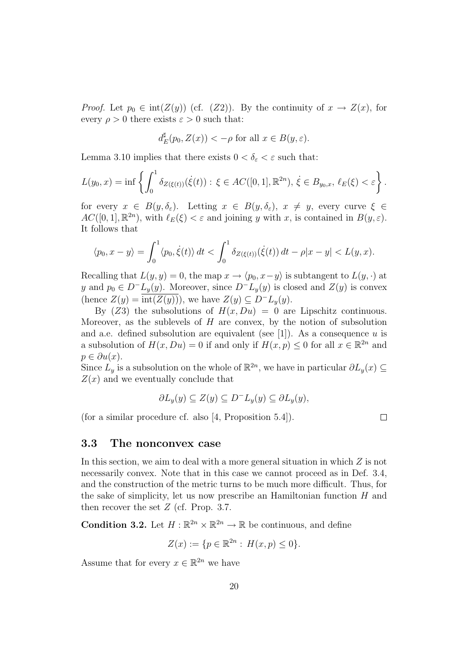*Proof.* Let  $p_0 \in \text{int}(Z(y))$  (cf.  $(Z2)$ ). By the continuity of  $x \to Z(x)$ , for every  $\rho > 0$  there exists  $\varepsilon > 0$  such that:

$$
d_E^{\sharp}(p_0, Z(x)) < -\rho \text{ for all } x \in B(y, \varepsilon).
$$

Lemma 3.10 implies that there exists  $0 < \delta_{\varepsilon} < \varepsilon$  such that:

$$
L(y_0, x) = \inf \left\{ \int_0^1 \delta_{Z(\xi(t))}(\dot{\xi}(t)) : \xi \in AC([0, 1], \mathbb{R}^{2n}), \dot{\xi} \in B_{y_0, x}, \ell_E(\xi) < \varepsilon \right\}.
$$

for every  $x \in B(y,\delta_{\varepsilon})$ . Letting  $x \in B(y,\delta_{\varepsilon})$ ,  $x \neq y$ , every curve  $\xi \in$  $AC([0,1], \mathbb{R}^{2n})$ , with  $\ell_E(\xi) < \varepsilon$  and joining y with x, is contained in  $B(y, \varepsilon)$ . It follows that

$$
\langle p_0, x - y \rangle = \int_0^1 \langle p_0, \dot{\xi}(t) \rangle dt < \int_0^1 \delta_{Z(\xi(t))}(\dot{\xi}(t)) dt - \rho |x - y| < L(y, x).
$$

Recalling that  $L(y, y) = 0$ , the map  $x \to \langle p_0, x-y \rangle$  is subtangent to  $L(y, \cdot)$  at y and  $p_0 \in D^-L_y(y)$ . Moreover, since  $D^-L_y(y)$  is closed and  $Z(y)$  is convex (hence  $Z(y) = \text{int}(Z(y))$ ), we have  $Z(y) \subseteq D^{-}L_{y}(y)$ .

By (Z3) the subsolutions of  $H(x, Du) = 0$  are Lipschitz continuous. Moreover, as the sublevels of  $H$  are convex, by the notion of subsolution and a.e. defined subsolution are equivalent (see [1]). As a consequence  $u$  is a subsolution of  $H(x, Du) = 0$  if and only if  $H(x, p) \leq 0$  for all  $x \in \mathbb{R}^{2n}$  and  $p \in \partial u(x)$ .

Since  $\hat{L}_y$  is a subsolution on the whole of  $\mathbb{R}^{2n}$ , we have in particular  $\partial L_y(x) \subseteq$  $Z(x)$  and we eventually conclude that

$$
\partial L_y(y) \subseteq Z(y) \subseteq D^-L_y(y) \subseteq \partial L_y(y),
$$

(for a similar procedure cf. also [4, Proposition 5.4]).

$$
\qquad \qquad \Box
$$

#### 3.3 The nonconvex case

In this section, we aim to deal with a more general situation in which Z is not necessarily convex. Note that in this case we cannot proceed as in Def. 3.4, and the construction of the metric turns to be much more difficult. Thus, for the sake of simplicity, let us now prescribe an Hamiltonian function  $H$  and then recover the set  $Z$  (cf. Prop. 3.7.

**Condition 3.2.** Let  $H : \mathbb{R}^{2n} \times \mathbb{R}^{2n} \to \mathbb{R}$  be continuous, and define

$$
Z(x) := \{ p \in \mathbb{R}^{2n} : H(x, p) \le 0 \}.
$$

Assume that for every  $x \in \mathbb{R}^{2n}$  we have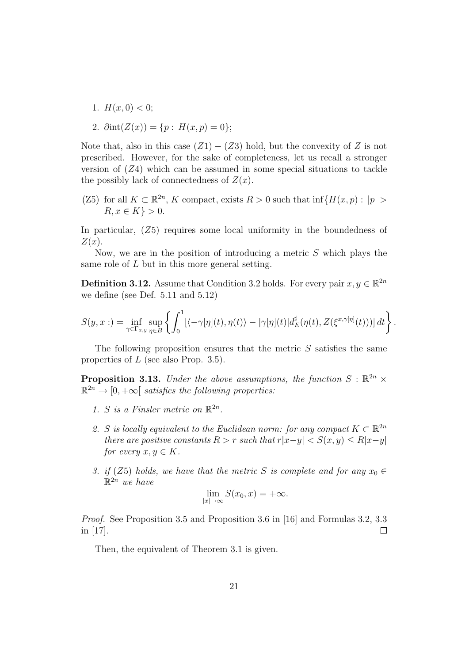1.  $H(x, 0) < 0$ ;

2. 
$$
\partial \text{int}(Z(x)) = \{p : H(x, p) = 0\};
$$

Note that, also in this case  $(Z1) - (Z3)$  hold, but the convexity of Z is not prescribed. However, for the sake of completeness, let us recall a stronger version of  $(Z4)$  which can be assumed in some special situations to tackle the possibly lack of connectedness of  $Z(x)$ .

(Z5) for all  $K \subset \mathbb{R}^{2n}$ , K compact, exists  $R > 0$  such that  $\inf\{H(x,p) : |p| >$  $R, x \in K$ } > 0.

In particular,  $(Z5)$  requires some local uniformity in the boundedness of  $Z(x)$ .

Now, we are in the position of introducing a metric  $S$  which plays the same role of L but in this more general setting.

**Definition 3.12.** Assume that Condition 3.2 holds. For every pair  $x, y \in \mathbb{R}^{2n}$ we define (see Def. 5.11 and 5.12)

$$
S(y,x:) = \inf_{\gamma \in \Gamma_{x,y}} \sup_{\eta \in B} \left\{ \int_0^1 [\langle -\gamma[\eta](t), \eta(t) \rangle - |\gamma[\eta](t) | d_E^{\sharp}(\eta(t), Z(\xi^{x,\gamma[\eta]}(t)))] dt \right\}.
$$

The following proposition ensures that the metric  $S$  satisfies the same properties of L (see also Prop. 3.5).

**Proposition 3.13.** Under the above assumptions, the function  $S : \mathbb{R}^{2n} \times$  $\mathbb{R}^{2n} \to [0, +\infty[$  satisfies the following properties:

- 1. S is a Finsler metric on  $\mathbb{R}^{2n}$ .
- 2. S is locally equivalent to the Euclidean norm: for any compact  $K \subset \mathbb{R}^{2n}$ there are positive constants  $R > r$  such that  $r|x-y| < S(x,y) \le R|x-y|$ for every  $x, y \in K$ .
- 3. if (Z5) holds, we have that the metric S is complete and for any  $x_0 \in$  $\mathbb{R}^{2n}$  we have

$$
\lim_{|x| \to \infty} S(x_0, x) = +\infty.
$$

*Proof.* See Proposition 3.5 and Proposition 3.6 in [16] and Formulas 3.2, 3.3 in [17].  $\Box$ 

Then, the equivalent of Theorem 3.1 is given.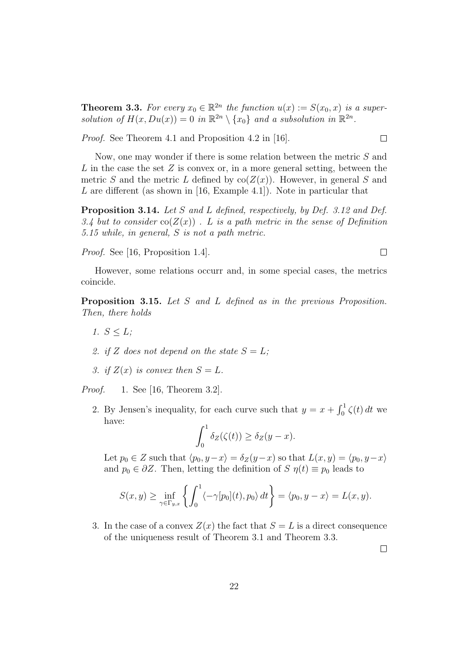**Theorem 3.3.** For every  $x_0 \in \mathbb{R}^{2n}$  the function  $u(x) := S(x_0, x)$  is a supersolution of  $H(x, Du(x)) = 0$  in  $\mathbb{R}^{2n} \setminus \{x_0\}$  and a subsolution in  $\mathbb{R}^{2n}$ .

Proof. See Theorem 4.1 and Proposition 4.2 in [16].

Now, one may wonder if there is some relation between the metric S and L in the case the set  $Z$  is convex or, in a more general setting, between the metric S and the metric L defined by  $\text{co}(Z(x))$ . However, in general S and L are different (as shown in [16, Example 4.1]). Note in particular that

Proposition 3.14. Let S and L defined, respectively, by Def. 3.12 and Def. 3.4 but to consider  $\text{co}(Z(x))$ . L is a path metric in the sense of Definition 5.15 while, in general, S is not a path metric.

Proof. See [16, Proposition 1.4].

However, some relations occurr and, in some special cases, the metrics coincide.

Proposition 3.15. Let S and L defined as in the previous Proposition. Then, there holds

- 1.  $S < L$ ;
- 2. if Z does not depend on the state  $S = L$ ;
- 3. if  $Z(x)$  is convex then  $S = L$ .

*Proof.* 1. See [16, Theorem 3.2].

2. By Jensen's inequality, for each curve such that  $y = x + \int_0^1 \zeta(t) dt$  we have:

$$
\int_0^1 \delta_Z(\zeta(t)) \ge \delta_Z(y-x).
$$

Let  $p_0 \in Z$  such that  $\langle p_0, y-x \rangle = \delta_Z(y-x)$  so that  $L(x, y) = \langle p_0, y-x \rangle$ and  $p_0 \in \partial Z$ . Then, letting the definition of  $S \eta(t) \equiv p_0$  leads to

$$
S(x,y) \geq \inf_{\gamma \in \Gamma_{y,x}} \left\{ \int_0^1 \langle -\gamma [p_0](t), p_0 \rangle dt \right\} = \langle p_0, y - x \rangle = L(x,y).
$$

3. In the case of a convex  $Z(x)$  the fact that  $S = L$  is a direct consequence of the uniqueness result of Theorem 3.1 and Theorem 3.3.

 $\Box$ 

 $\Box$ 

 $\Box$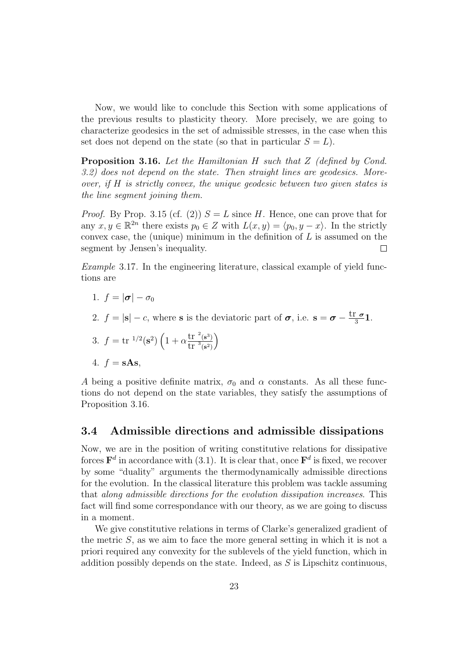Now, we would like to conclude this Section with some applications of the previous results to plasticity theory. More precisely, we are going to characterize geodesics in the set of admissible stresses, in the case when this set does not depend on the state (so that in particular  $S = L$ ).

Proposition 3.16. Let the Hamiltonian H such that Z (defined by Cond. 3.2) does not depend on the state. Then straight lines are geodesics. Moreover, if H is strictly convex, the unique geodesic between two given states is the line segment joining them.

*Proof.* By Prop. 3.15 (cf. (2))  $S = L$  since H. Hence, one can prove that for any  $x, y \in \mathbb{R}^{2n}$  there exists  $p_0 \in Z$  with  $L(x, y) = \langle p_0, y - x \rangle$ . In the strictly convex case, the (unique) minimum in the definition of  $L$  is assumed on the segment by Jensen's inequality. □

Example 3.17. In the engineering literature, classical example of yield functions are

$$
1. f = |\boldsymbol{\sigma}| - \sigma_0
$$

2.  $f = |\mathbf{s}| - c$ , where **s** is the deviatoric part of  $\sigma$ , i.e.  $\mathbf{s} = \sigma - \frac{\text{tr } \sigma}{3} \mathbf{1}$ .

3.  $f = \text{tr}^{-1/2}(\mathbf{s}^2) \left(1 + \alpha \frac{\text{tr}^{-2}(\mathbf{s}^3)}{\text{tr}^{-3}(\mathbf{s}^3)}\right)$  $\overline{\text{tr }^{3}(\mathbf{s}^{2})}$  $\setminus$ 

$$
4. f = sAs,
$$

A being a positive definite matrix,  $\sigma_0$  and  $\alpha$  constants. As all these functions do not depend on the state variables, they satisfy the assumptions of Proposition 3.16.

### 3.4 Admissible directions and admissible dissipations

Now, we are in the position of writing constitutive relations for dissipative forces  $\mathbf{F}^d$  in accordance with (3.1). It is clear that, once  $\mathbf{F}^d$  is fixed, we recover by some "duality" arguments the thermodynamically admissible directions for the evolution. In the classical literature this problem was tackle assuming that along admissible directions for the evolution dissipation increases. This fact will find some correspondance with our theory, as we are going to discuss in a moment.

We give constitutive relations in terms of Clarke's generalized gradient of the metric S, as we aim to face the more general setting in which it is not a priori required any convexity for the sublevels of the yield function, which in addition possibly depends on the state. Indeed, as S is Lipschitz continuous,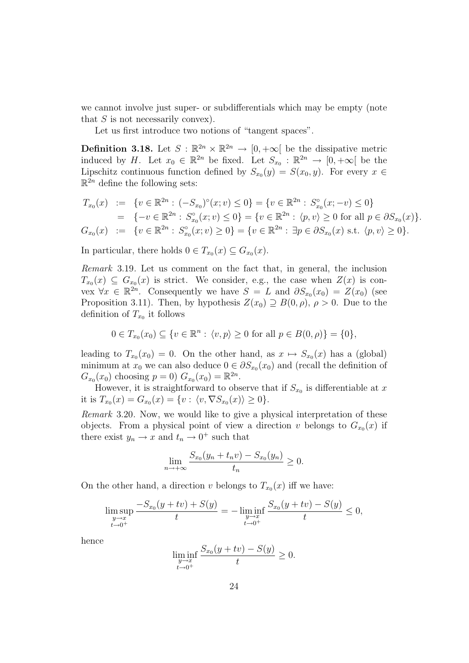we cannot involve just super- or subdifferentials which may be empty (note that  $S$  is not necessarily convex).

Let us first introduce two notions of "tangent spaces".

**Definition 3.18.** Let  $S : \mathbb{R}^{2n} \times \mathbb{R}^{2n} \to [0, +\infty]$  be the dissipative metric induced by H. Let  $x_0 \in \mathbb{R}^{2n}$  be fixed. Let  $S_{x_0} : \mathbb{R}^{2n} \to [0, +\infty]$  be the Lipschitz continuous function defined by  $S_{x_0}(y) = S(x_0, y)$ . For every  $x \in$  $\mathbb{R}^{\overline{2n}}$  define the following sets:

$$
T_{x_0}(x) := \{v \in \mathbb{R}^{2n} : (-S_{x_0})^{\circ}(x; v) \le 0\} = \{v \in \mathbb{R}^{2n} : S_{x_0}^{\circ}(x; -v) \le 0\}
$$
  
\n
$$
= \{-v \in \mathbb{R}^{2n} : S_{x_0}^{\circ}(x; v) \le 0\} = \{v \in \mathbb{R}^{2n} : \langle p, v \rangle \ge 0 \text{ for all } p \in \partial S_{x_0}(x)\}.
$$
  
\n
$$
G_{x_0}(x) := \{v \in \mathbb{R}^{2n} : S_{x_0}^{\circ}(x; v) \ge 0\} = \{v \in \mathbb{R}^{2n} : \exists p \in \partial S_{x_0}(x) \text{ s.t. } \langle p, v \rangle \ge 0\}.
$$

In particular, there holds  $0 \in T_{x_0}(x) \subseteq G_{x_0}(x)$ .

Remark 3.19. Let us comment on the fact that, in general, the inclusion  $T_{x_0}(x) \subseteq G_{x_0}(x)$  is strict. We consider, e.g., the case when  $Z(x)$  is convex  $\forall x \in \mathbb{R}^{2n}$ . Consequently we have  $S = L$  and  $\partial S_{x_0}(x_0) = Z(x_0)$  (see Proposition 3.11). Then, by hypothesis  $Z(x_0) \supseteq B(0, \rho)$ ,  $\rho > 0$ . Due to the definition of  $T_{x_0}$  it follows

$$
0 \in T_{x_0}(x_0) \subseteq \{v \in \mathbb{R}^n : \langle v, p \rangle \ge 0 \text{ for all } p \in B(0, \rho)\} = \{0\},\
$$

leading to  $T_{x_0}(x_0) = 0$ . On the other hand, as  $x \mapsto S_{x_0}(x)$  has a (global) minimum at  $x_0$  we can also deduce  $0 \in \partial S_{x_0}(x_0)$  and (recall the definition of  $G_{x_0}(x_0)$  choosing  $p = 0$ )  $G_{x_0}(x_0) = \mathbb{R}^{2n}$ .

However, it is straightforward to observe that if  $S_{x_0}$  is differentiable at x it is  $T_{x_0}(x) = G_{x_0}(x) = \{v : \langle v, \nabla S_{x_0}(x) \rangle \ge 0\}.$ 

Remark 3.20. Now, we would like to give a physical interpretation of these objects. From a physical point of view a direction v belongs to  $G_{x_0}(x)$  if there exist  $y_n \to x$  and  $t_n \to 0^+$  such that

$$
\lim_{n \to +\infty} \frac{S_{x_0}(y_n + t_n v) - S_{x_0}(y_n)}{t_n} \ge 0.
$$

On the other hand, a direction v belongs to  $T_{x_0}(x)$  iff we have:

$$
\limsup_{\substack{y \to x \\ t \to 0^+}} \frac{-S_{x_0}(y + tv) + S(y)}{t} = -\liminf_{\substack{y \to x \\ t \to 0^+}} \frac{S_{x_0}(y + tv) - S(y)}{t} \le 0,
$$

hence

$$
\liminf_{\substack{y \to x \\ t \to 0^+}} \frac{S_{x_0}(y + tv) - S(y)}{t} \ge 0.
$$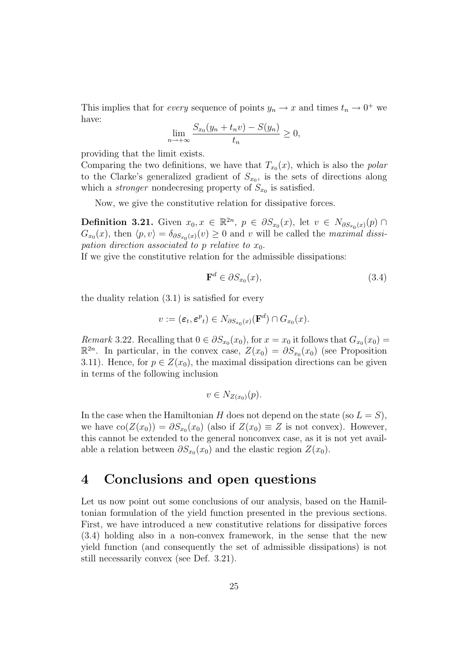This implies that for *every* sequence of points  $y_n \to x$  and times  $t_n \to 0^+$  we have:

$$
\lim_{n \to +\infty} \frac{S_{x_0}(y_n + t_n v) - S(y_n)}{t_n} \ge 0,
$$

providing that the limit exists.

Comparing the two definitions, we have that  $T_{x_0}(x)$ , which is also the *polar* to the Clarke's generalized gradient of  $S_{x_0}$ , is the sets of directions along which a *stronger* nondecresing property of  $S_{x_0}$  is satisfied.

Now, we give the constitutive relation for dissipative forces.

**Definition 3.21.** Given  $x_0, x \in \mathbb{R}^{2n}$ ,  $p \in \partial S_{x_0}(x)$ , let  $v \in N_{\partial S_{x_0}(x)}(p)$  $G_{x_0}(x)$ , then  $\langle p, v \rangle = \delta_{\partial S_{x_0}(x)}(v) \ge 0$  and v will be called the maximal dissipation direction associated to p relative to  $x_0$ .

If we give the constitutive relation for the admissible dissipations:

$$
\mathbf{F}^d \in \partial S_{x_0}(x),\tag{3.4}
$$

the duality relation (3.1) is satisfied for every

$$
v := (\varepsilon_t, \varepsilon^p)_t \in N_{\partial S_{x_0}(x)}(\mathbf{F}^d) \cap G_{x_0}(x).
$$

*Remark* 3.22. Recalling that  $0 \in \partial S_{x_0}(x_0)$ , for  $x = x_0$  it follows that  $G_{x_0}(x_0) =$  $\mathbb{R}^{2n}$ . In particular, in the convex case,  $Z(x_0) = \partial S_{x_0}(x_0)$  (see Proposition 3.11). Hence, for  $p \in Z(x_0)$ , the maximal dissipation directions can be given in terms of the following inclusion

$$
v \in N_{Z(x_0)}(p).
$$

In the case when the Hamiltonian H does not depend on the state (so  $L = S$ ), we have  $\text{co}(Z(x_0)) = \partial S_{x_0}(x_0)$  (also if  $Z(x_0) \equiv Z$  is not convex). However, this cannot be extended to the general nonconvex case, as it is not yet available a relation between  $\partial S_{x_0}(x_0)$  and the elastic region  $Z(x_0)$ .

## 4 Conclusions and open questions

Let us now point out some conclusions of our analysis, based on the Hamiltonian formulation of the yield function presented in the previous sections. First, we have introduced a new constitutive relations for dissipative forces (3.4) holding also in a non-convex framework, in the sense that the new yield function (and consequently the set of admissible dissipations) is not still necessarily convex (see Def. 3.21).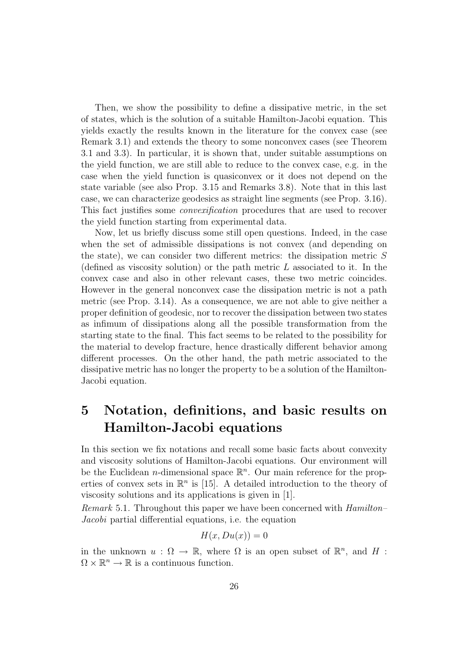Then, we show the possibility to define a dissipative metric, in the set of states, which is the solution of a suitable Hamilton-Jacobi equation. This yields exactly the results known in the literature for the convex case (see Remark 3.1) and extends the theory to some nonconvex cases (see Theorem 3.1 and 3.3). In particular, it is shown that, under suitable assumptions on the yield function, we are still able to reduce to the convex case, e.g. in the case when the yield function is quasiconvex or it does not depend on the state variable (see also Prop. 3.15 and Remarks 3.8). Note that in this last case, we can characterize geodesics as straight line segments (see Prop. 3.16). This fact justifies some convexification procedures that are used to recover the yield function starting from experimental data.

Now, let us briefly discuss some still open questions. Indeed, in the case when the set of admissible dissipations is not convex (and depending on the state), we can consider two different metrics: the dissipation metric S (defined as viscosity solution) or the path metric  $L$  associated to it. In the convex case and also in other relevant cases, these two metric coincides. However in the general nonconvex case the dissipation metric is not a path metric (see Prop. 3.14). As a consequence, we are not able to give neither a proper definition of geodesic, nor to recover the dissipation between two states as infimum of dissipations along all the possible transformation from the starting state to the final. This fact seems to be related to the possibility for the material to develop fracture, hence drastically different behavior among different processes. On the other hand, the path metric associated to the dissipative metric has no longer the property to be a solution of the Hamilton-Jacobi equation.

# 5 Notation, definitions, and basic results on Hamilton-Jacobi equations

In this section we fix notations and recall some basic facts about convexity and viscosity solutions of Hamilton-Jacobi equations. Our environment will be the Euclidean *n*-dimensional space  $\mathbb{R}^n$ . Our main reference for the properties of convex sets in  $\mathbb{R}^n$  is [15]. A detailed introduction to the theory of viscosity solutions and its applications is given in [1].

Remark 5.1. Throughout this paper we have been concerned with Hamilton– Jacobi partial differential equations, i.e. the equation

$$
H(x, Du(x)) = 0
$$

in the unknown  $u : \Omega \to \mathbb{R}$ , where  $\Omega$  is an open subset of  $\mathbb{R}^n$ , and H :  $\Omega \times \mathbb{R}^n \to \mathbb{R}$  is a continuous function.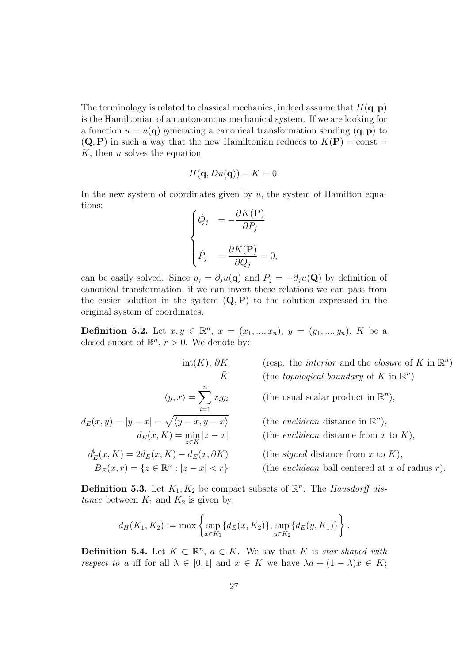The terminology is related to classical mechanics, indeed assume that  $H(q, p)$ is the Hamiltonian of an autonomous mechanical system. If we are looking for a function  $u = u(\mathbf{q})$  generating a canonical transformation sending  $(\mathbf{q}, \mathbf{p})$  to  $(Q, P)$  in such a way that the new Hamiltonian reduces to  $K(P) = \text{const} =$  $K$ , then  $u$  solves the equation

$$
H(\mathbf{q}, Du(\mathbf{q})) - K = 0.
$$

In the new system of coordinates given by  $u$ , the system of Hamilton equations:

$$
\begin{cases}\n\dot{Q}_j &= -\frac{\partial K(\mathbf{P})}{\partial P_j} \\
\dot{P}_j &= \frac{\partial K(\mathbf{P})}{\partial Q_j} = 0,\n\end{cases}
$$

can be easily solved. Since  $p_j = \partial_j u(\mathbf{q})$  and  $P_j = -\partial_j u(\mathbf{Q})$  by definition of canonical transformation, if we can invert these relations we can pass from the easier solution in the system  $(Q, P)$  to the solution expressed in the original system of coordinates.

**Definition 5.2.** Let  $x, y \in \mathbb{R}^n$ ,  $x = (x_1, ..., x_n)$ ,  $y = (y_1, ..., y_n)$ , K be a closed subset of  $\mathbb{R}^n$ ,  $r > 0$ . We denote by:

$$
\text{int}(K), \partial K \qquad \text{(resp. the interior and the closure of } K \text{ in } \mathbb{R}^n)
$$
\n
$$
\bar{K} \qquad \text{(the topological boundary of } K \text{ in } \mathbb{R}^n)
$$
\n
$$
\langle y, x \rangle = \sum_{i=1}^n x_i y_i \qquad \text{(the usual scalar product in } \mathbb{R}^n),
$$
\n
$$
d_E(x, y) = |y - x| = \sqrt{\langle y - x, y - x \rangle} \qquad \text{(the euclidean distance in } \mathbb{R}^n),
$$
\n
$$
d_E(x, K) = \min_{z \in K} |z - x| \qquad \text{(the euclidean distance from } x \text{ to } K),
$$
\n
$$
d_E^{\sharp}(x, K) = 2d_E(x, K) - d_E(x, \partial K) \qquad \text{(the signed distance from } x \text{ to } K),
$$
\n
$$
B_E(x, r) = \{z \in \mathbb{R}^n : |z - x| < r\} \qquad \text{(the euclidean ball centered at } x \text{ of radius } r).
$$

**Definition 5.3.** Let  $K_1, K_2$  be compact subsets of  $\mathbb{R}^n$ . The *Hausdorff dis*tance between  $K_1$  and  $K_2$  is given by:

$$
d_H(K_1, K_2) := \max \left\{ \sup_{x \in K_1} \{ d_E(x, K_2) \}, \sup_{y \in K_2} \{ d_E(y, K_1) \} \right\}.
$$

**Definition 5.4.** Let  $K \subset \mathbb{R}^n$ ,  $a \in K$ . We say that K is star-shaped with respect to a iff for all  $\lambda \in [0,1]$  and  $x \in K$  we have  $\lambda a + (1 - \lambda)x \in K$ ;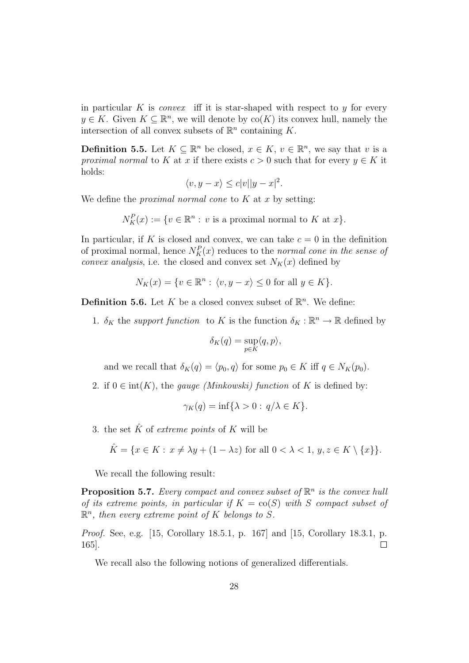in particular K is *convex* iff it is star-shaped with respect to  $\gamma$  for every  $y \in K$ . Given  $K \subseteq \mathbb{R}^n$ , we will denote by  $\text{co}(K)$  its convex hull, namely the intersection of all convex subsets of  $\mathbb{R}^n$  containing K.

**Definition 5.5.** Let  $K \subseteq \mathbb{R}^n$  be closed,  $x \in K$ ,  $v \in \mathbb{R}^n$ , we say that v is a proximal normal to K at x if there exists  $c > 0$  such that for every  $y \in K$  it holds:

$$
\langle v, y - x \rangle \le c |v||y - x|^2.
$$

We define the *proximal normal cone* to  $K$  at  $x$  by setting:

 $\overline{a}$ 

$$
N_K^P(x) := \{ v \in \mathbb{R}^n : v \text{ is a proximal normal to } K \text{ at } x \}.
$$

In particular, if K is closed and convex, we can take  $c = 0$  in the definition of proximal normal, hence  $N_K^P(x)$  reduces to the normal cone in the sense of convex analysis, i.e. the closed and convex set  $N_K(x)$  defined by

$$
N_K(x) = \{ v \in \mathbb{R}^n : \langle v, y - x \rangle \le 0 \text{ for all } y \in K \}.
$$

**Definition 5.6.** Let K be a closed convex subset of  $\mathbb{R}^n$ . We define:

1.  $\delta_K$  the support function to K is the function  $\delta_K : \mathbb{R}^n \to \mathbb{R}$  defined by

$$
\delta_K(q) = \sup_{p \in K} \langle q, p \rangle,
$$

and we recall that  $\delta_K(q) = \langle p_0, q \rangle$  for some  $p_0 \in K$  iff  $q \in N_K(p_0)$ .

2. if  $0 \in \text{int}(K)$ , the *gauge (Minkowski)* function of K is defined by:

$$
\gamma_K(q) = \inf \{ \lambda > 0 : q/\lambda \in K \}.
$$

3. the set  $\hat{K}$  of *extreme points* of K will be

$$
\hat{K} = \{ x \in K : x \neq \lambda y + (1 - \lambda z) \text{ for all } 0 < \lambda < 1, y, z \in K \setminus \{x\} \}.
$$

We recall the following result:

**Proposition 5.7.** Every compact and convex subset of  $\mathbb{R}^n$  is the convex huli of its extreme points, in particular if  $K = \text{co}(S)$  with S compact subset of  $\mathbb{R}^n$ , then every extreme point of K belongs to S.

Proof. See, e.g. [15, Corollary 18.5.1, p. 167] and [15, Corollary 18.3.1, p. 165].  $\Box$ 

We recall also the following notions of generalized differentials.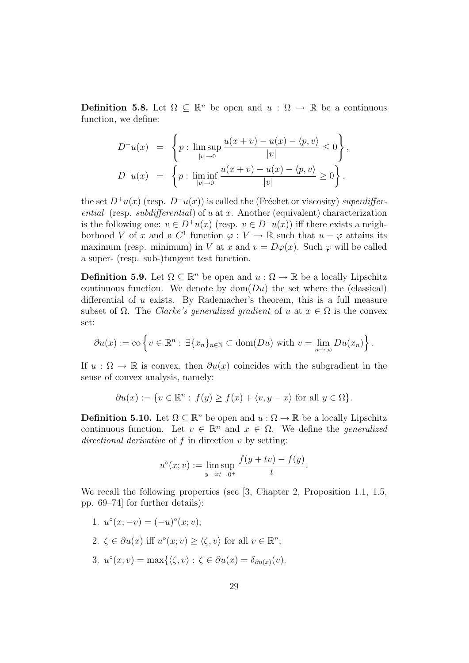**Definition 5.8.** Let  $\Omega \subseteq \mathbb{R}^n$  be open and  $u : \Omega \to \mathbb{R}$  be a continuous function, we define:

$$
D^+u(x) = \left\{ p : \limsup_{|v| \to 0} \frac{u(x+v) - u(x) - \langle p, v \rangle}{|v|} \le 0 \right\},
$$
  

$$
D^-u(x) = \left\{ p : \liminf_{|v| \to 0} \frac{u(x+v) - u(x) - \langle p, v \rangle}{|v|} \ge 0 \right\},
$$

the set  $D^+u(x)$  (resp.  $D^-u(x)$ ) is called the (Fréchet or viscosity) superdifferential (resp. subdifferential) of u at x. Another (equivalent) characterization is the following one:  $v \in D^+u(x)$  (resp.  $v \in D^-u(x)$ ) iff there exists a neighborhood V of x and a  $C^1$  function  $\varphi: V \to \mathbb{R}$  such that  $u - \varphi$  attains its maximum (resp. minimum) in V at x and  $v = D\varphi(x)$ . Such  $\varphi$  will be called a super- (resp. sub-)tangent test function.

**Definition 5.9.** Let  $\Omega \subseteq \mathbb{R}^n$  be open and  $u : \Omega \to \mathbb{R}$  be a locally Lipschitz continuous function. We denote by  $dom(Du)$  the set where the (classical) differential of u exists. By Rademacher's theorem, this is a full measure subset of  $\Omega$ . The *Clarke's generalized gradient* of u at  $x \in \Omega$  is the convex set:

$$
\partial u(x) := \text{co}\left\{v \in \mathbb{R}^n : \exists \{x_n\}_{n \in \mathbb{N}} \subset \text{dom}(Du) \text{ with } v = \lim_{n \to \infty} Du(x_n)\right\}.
$$

If  $u : \Omega \to \mathbb{R}$  is convex, then  $\partial u(x)$  coincides with the subgradient in the sense of convex analysis, namely:

$$
\partial u(x) := \{ v \in \mathbb{R}^n : f(y) \ge f(x) + \langle v, y - x \rangle \text{ for all } y \in \Omega \}.
$$

**Definition 5.10.** Let  $\Omega \subseteq \mathbb{R}^n$  be open and  $u : \Omega \to \mathbb{R}$  be a locally Lipschitz continuous function. Let  $v \in \mathbb{R}^n$  and  $x \in \Omega$ . We define the *generalized* directional derivative of  $f$  in direction  $v$  by setting:

$$
u^{\circ}(x; v) := \limsup_{y \to x_t \to 0^+} \frac{f(y + tv) - f(y)}{t}.
$$

We recall the following properties (see [3, Chapter 2, Proposition 1.1, 1.5, pp. 69–74] for further details):

1.  $u^{\circ}(x; -v) = (-u)^{\circ}(x; v);$ 2.  $\zeta \in \partial u(x)$  iff  $u^{\circ}(x; v) \ge \langle \zeta, v \rangle$  for all  $v \in \mathbb{R}^n$ ; 3.  $u^{\circ}(x; v) = \max\{\langle \zeta, v \rangle : \zeta \in \partial u(x) = \delta_{\partial u(x)}(v).$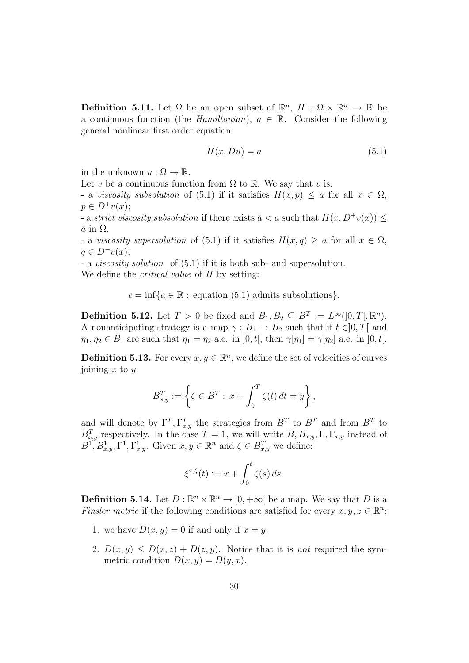**Definition 5.11.** Let  $\Omega$  be an open subset of  $\mathbb{R}^n$ ,  $H : \Omega \times \mathbb{R}^n \to \mathbb{R}$  be a continuous function (the *Hamiltonian*),  $a \in \mathbb{R}$ . Consider the following general nonlinear first order equation:

$$
H(x, Du) = a \tag{5.1}
$$

in the unknown  $u : \Omega \to \mathbb{R}$ .

Let v be a continuous function from  $\Omega$  to  $\mathbb R$ . We say that v is:

- a viscosity subsolution of (5.1) if it satisfies  $H(x, p) \leq a$  for all  $x \in \Omega$ ,  $p \in D^{+}v(x);$ 

- a strict viscosity subsolution if there exists  $\bar{a} < a$  such that  $H(x, D^+v(x))$  $\bar{a}$  in  $\Omega$ .

- a viscosity supersolution of (5.1) if it satisfies  $H(x,q) \geq a$  for all  $x \in \Omega$ ,  $q \in D^-v(x);$ 

- a viscosity solution of (5.1) if it is both sub- and supersolution. We define the *critical value* of H by setting:

 $c = \inf\{a \in \mathbb{R} :$  equation (5.1) admits subsolutions}.

**Definition 5.12.** Let  $T > 0$  be fixed and  $B_1, B_2 \subseteq B^T := L^{\infty}(]0, T[, \mathbb{R}^n)$ . A nonanticipating strategy is a map  $\gamma : B_1 \to B_2$  such that if  $t \in ]0, T[$  and  $\eta_1, \eta_2 \in B_1$  are such that  $\eta_1 = \eta_2$  a.e. in  $]0, t[$ , then  $\gamma[\eta_1] = \gamma[\eta_2]$  a.e. in  $]0, t[$ .

**Definition 5.13.** For every  $x, y \in \mathbb{R}^n$ , we define the set of velocities of curves joining  $x$  to  $y$ :

$$
B_{x,y}^T := \left\{ \zeta \in B^T : \, x + \int_0^T \zeta(t) \, dt = y \right\},\,
$$

and will denote by  $\Gamma^T, \Gamma^T_{x,y}$  the strategies from  $B^T$  to  $B^T$  and from  $B^T$  to  $B_{x,y}^T$  respectively. In the case  $T=1$ , we will write  $B, B_{x,y}, \Gamma, \Gamma_{x,y}$  instead of  $B^{T,s}B^1_{x,y}, \Gamma^1, \Gamma^1_{x,y}.$  Given  $x,y \in \mathbb{R}^n$  and  $\zeta \in B^T_{x,y}$  we define:

$$
\xi^{x,\zeta}(t) := x + \int_0^t \zeta(s) \, ds.
$$

**Definition 5.14.** Let  $D : \mathbb{R}^n \times \mathbb{R}^n \to [0, +\infty]$  be a map. We say that D is a Finsler metric if the following conditions are satisfied for every  $x, y, z \in \mathbb{R}^n$ :

- 1. we have  $D(x, y) = 0$  if and only if  $x = y$ ;
- 2.  $D(x, y) \leq D(x, z) + D(z, y)$ . Notice that it is not required the symmetric condition  $D(x, y) = D(y, x)$ .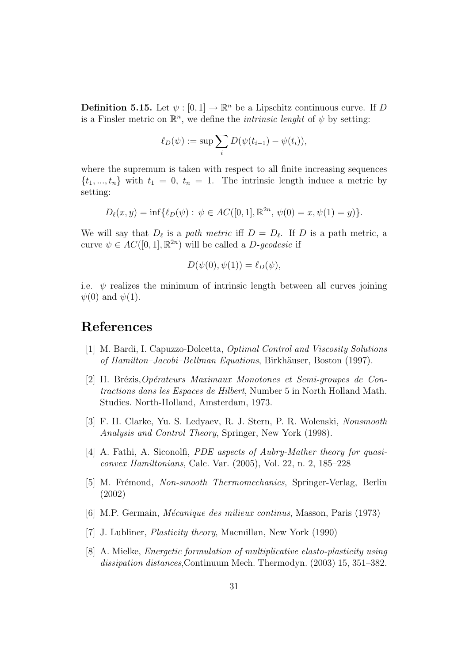**Definition 5.15.** Let  $\psi : [0,1] \to \mathbb{R}^n$  be a Lipschitz continuous curve. If D is a Finsler metric on  $\mathbb{R}^n$ , we define the *intrinsic lenght* of  $\psi$  by setting:

$$
\ell_D(\psi) := \sup \sum_i D(\psi(t_{i-1}) - \psi(t_i)),
$$

where the supremum is taken with respect to all finite increasing sequences  $\{t_1, ..., t_n\}$  with  $t_1 = 0, t_n = 1$ . The intrinsic length induce a metric by setting:

$$
D_{\ell}(x, y) = \inf \{ \ell_D(\psi) : \psi \in AC([0, 1], \mathbb{R}^{2n}, \psi(0) = x, \psi(1) = y) \}.
$$

We will say that  $D_{\ell}$  is a path metric iff  $D = D_{\ell}$ . If D is a path metric, a curve  $\psi \in AC([0, 1], \mathbb{R}^{2n})$  will be called a *D-geodesic* if

$$
D(\psi(0), \psi(1)) = \ell_D(\psi),
$$

i.e.  $\psi$  realizes the minimum of intrinsic length between all curves joining  $\psi(0)$  and  $\psi(1)$ .

## References

- [1] M. Bardi, I. Capuzzo-Dolcetta, Optimal Control and Viscosity Solutions of Hamilton–Jacobi–Bellman Equations, Birkhäuser, Boston (1997).
- $[2]$  H. Brézis, Opérateurs Maximaux Monotones et Semi-groupes de Contractions dans les Espaces de Hilbert, Number 5 in North Holland Math. Studies. North-Holland, Amsterdam, 1973.
- [3] F. H. Clarke, Yu. S. Ledyaev, R. J. Stern, P. R. Wolenski, Nonsmooth Analysis and Control Theory, Springer, New York (1998).
- [4] A. Fathi, A. Siconolfi, PDE aspects of Aubry-Mather theory for quasiconvex Hamiltonians, Calc. Var. (2005), Vol. 22, n. 2, 185–228
- [5] M. Frémond, *Non-smooth Thermomechanics*, Springer-Verlag, Berlin (2002)
- [6] M.P. Germain, *Mécanique des milieux continus*, Masson, Paris (1973)
- [7] J. Lubliner, Plasticity theory, Macmillan, New York (1990)
- [8] A. Mielke, Energetic formulation of multiplicative elasto-plasticity using dissipation distances,Continuum Mech. Thermodyn. (2003) 15, 351–382.